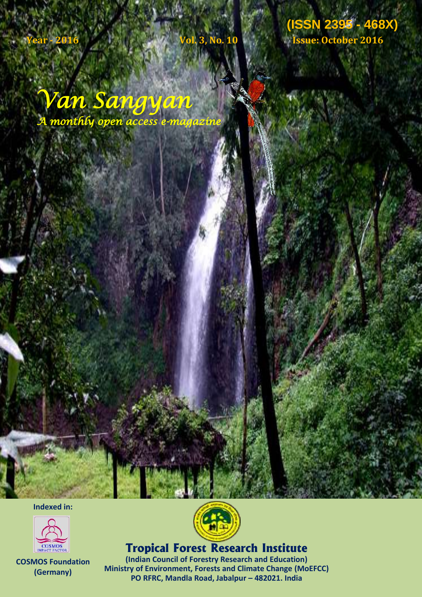**Van Sangyan (ISSN 2395 - 468X) Vol. 3, No. 10, Issue: October, 2016 (ISSN 2395 - 468X) Year - 2016 Vol. 3, No. 10 Issue: October 2016**

*Van Sangyan A monthly open access e-magazine* 

**Indexed in:**



**COSMOS Foundation (Germany)**



**Tropical Forest Research Institute** 

**(Indian Council of Forestry Research and Education) Ministry of Environment, Forests and Climate Change (MoEFCC) PO RFRC, Mandla Road, Jabalpur – 482021. India**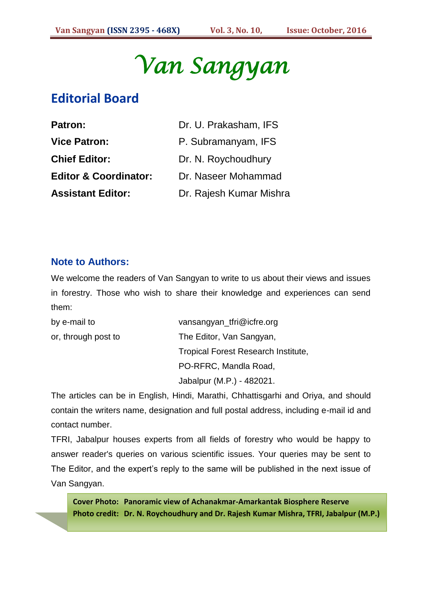*Van Sangyan* 

# **Editorial Board**

| <b>Patron:</b>                   | Dr. U. Prakasham, IFS   |
|----------------------------------|-------------------------|
| <b>Vice Patron:</b>              | P. Subramanyam, IFS     |
| <b>Chief Editor:</b>             | Dr. N. Roychoudhury     |
| <b>Editor &amp; Coordinator:</b> | Dr. Naseer Mohammad     |
| <b>Assistant Editor:</b>         | Dr. Rajesh Kumar Mishra |

# **Note to Authors:**

We welcome the readers of Van Sangyan to write to us about their views and issues in forestry. Those who wish to share their knowledge and experiences can send them:

| by e-mail to        | vansangyan_tfri@icfre.org           |
|---------------------|-------------------------------------|
| or, through post to | The Editor, Van Sangyan,            |
|                     | Tropical Forest Research Institute, |
|                     | PO-RFRC, Mandla Road,               |
|                     | Jabalpur (M.P.) - 482021.           |

The articles can be in English, Hindi, Marathi, Chhattisgarhi and Oriya, and should contain the writers name, designation and full postal address, including e-mail id and contact number.

TFRI, Jabalpur houses experts from all fields of forestry who would be happy to answer reader's queries on various scientific issues. Your queries may be sent to The Editor, and the expert's reply to the same will be published in the next issue of Van Sangyan.

**Cover Photo: Panoramic view of Achanakmar-Amarkantak Biosphere Reserve Photo credit: Dr. N. Roychoudhury and Dr. Rajesh Kumar Mishra, TFRI, Jabalpur (M.P.)**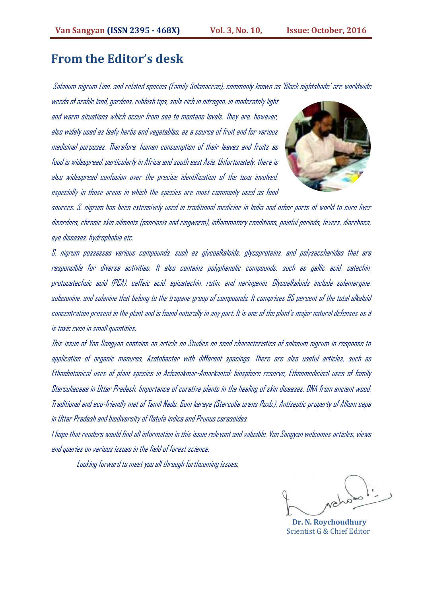# **From the Editor's desk**

Solanum nigrum Linn. and related species (Family Solanaceae), commonly known as 'Black nightshade' are worldwide

weeds of arable land, gardens, rubbish tips, soils rich in nitrogen, in moderately light and warm situations which occur from sea to montane levels. They are, however, also widely used as leafy herbs and vegetables, as a source of fruit and for various medicinal purposes. Therefore, human consumption of their leaves and fruits as food is widespread, particularly in Africa and south east Asia. Unfortunately, there is also widespread confusion over the precise identification of the taxa involved, especially in those areas in which the species are most commonly used as food



sources. S. nigrum has been extensively used in traditional medicine in India and other parts of world to cure liver disorders, chronic skin ailments (psoriasis and ringworm), inflammatory conditions, painful periods, fevers, diarrhoea, eye diseases, hydrophobia etc.

S. nigrum possesses various compounds, such as glycoalkaloids, glycoproteins, and polysaccharides that are responsible for diverse activities. It also contains polyphenolic compounds, such as gallic acid, catechin, protocatechuic acid (PCA), caffeic acid, epicatechin, rutin, and naringenin. Glycoalkaloids include solamargine, solasonine, and solanine that belong to the tropane group of compounds. It comprises 95 percent of the total alkaloid concentration present in the plant and is found naturally in anypart. It is one of the plant's major natural defenses as it is toxic even in small quantities.

This issue of Van Sangyan contains an article on Studies on seed characteristics of solanum nigrum in response to application of organic manures, Azotobacter with different spacings. There are also useful articles, such as Ethnobotanical uses of plant species in Achanakmar-Amarkantak biosphere reserve, Ethnomedicinal uses of family Sterculiaceae in Uttar Pradesh. Importance of curative plants in the healing of skin diseases, DNA from ancient wood, Traditional and eco-friendly mat of Tamil Nadu, Gum karaya (Sterculia urens Roxb.), Antiseptic property of Allium cepa in Uttar Pradeshand biodiversity of Ratufa indica and Prunus cerasoides.

I hope that readers would find all information in this issue relevant and valuable. Van Sangyan welcomes articles, views and queries on various issues in the field of forest science.

Looking forward to meet you all through forthcoming issues.

 **Dr. N. Roychoudhury** Scientist G & Chief Editor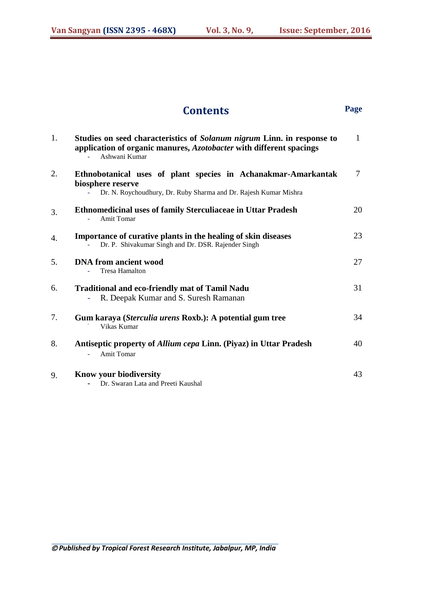# **Contents Page**

| 1. | Studies on seed characteristics of Solanum nigrum Linn. in response to<br>application of organic manures, Azotobacter with different spacings<br>Ashwani Kumar | $\mathbf{1}$ |
|----|----------------------------------------------------------------------------------------------------------------------------------------------------------------|--------------|
| 2. | Ethnobotanical uses of plant species in Achanakmar-Amarkantak<br>biosphere reserve<br>Dr. N. Roychoudhury, Dr. Ruby Sharma and Dr. Rajesh Kumar Mishra         | $\tau$       |
| 3. | <b>Ethnomedicinal uses of family Sterculiaceae in Uttar Pradesh</b><br>Amit Tomar                                                                              | 20           |
| 4. | Importance of curative plants in the healing of skin diseases<br>Dr. P. Shivakumar Singh and Dr. DSR. Rajender Singh                                           | 23           |
| 5. | <b>DNA</b> from ancient wood<br><b>Tresa Hamalton</b>                                                                                                          | 27           |
| 6. | <b>Traditional and eco-friendly mat of Tamil Nadu</b><br>R. Deepak Kumar and S. Suresh Ramanan                                                                 | 31           |
| 7. | Gum karaya (Sterculia urens Roxb.): A potential gum tree<br>Vikas Kumar                                                                                        | 34           |
| 8. | Antiseptic property of Allium cepa Linn. (Piyaz) in Uttar Pradesh<br><b>Amit Tomar</b>                                                                         | 40           |
| 9. | Know your biodiversity<br>Dr. Swaran Lata and Preeti Kaushal                                                                                                   | 43           |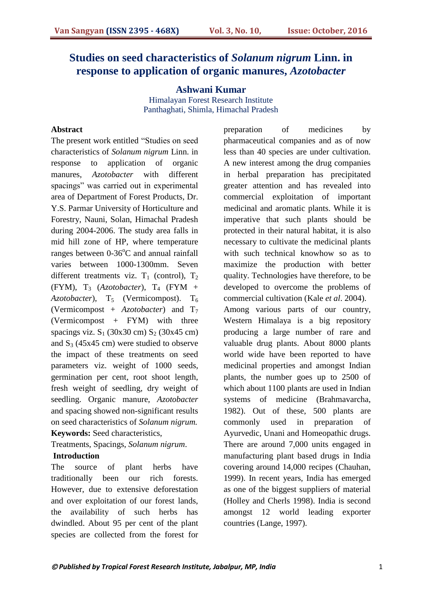# **Studies on seed characteristics of** *Solanum nigrum* **Linn. in response to application of organic manures,** *Azotobacter*

**Ashwani Kumar**  Himalayan Forest Research Institute Panthaghati, Shimla, Himachal Pradesh

#### **Abstract**

The present work entitled "Studies on seed characteristics of *Solanum nigrum* Linn. in response to application of organic manures, *Azotobacter* with different spacings" was carried out in experimental area of Department of Forest Products, Dr. Y.S. Parmar University of Horticulture and Forestry, Nauni, Solan, Himachal Pradesh during 2004-2006. The study area falls in mid hill zone of HP, where temperature ranges between  $0\n-36^{\circ}$ C and annual rainfall varies between 1000-1300mm. Seven different treatments viz.  $T_1$  (control),  $T_2$ (FYM),  $T_3$  (*Azotobacter*),  $T_4$  (FYM + *Azotobacter*), T<sub>5</sub> (Vermicompost). T<sub>6</sub> (Vermicompost + *Azotobacter*) and T<sup>7</sup> (Vermicompost + FYM) with three spacings viz.  $S_1$  (30x30 cm)  $S_2$  (30x45 cm) and  $S_3$  (45x45 cm) were studied to observe the impact of these treatments on seed parameters viz. weight of 1000 seeds, germination per cent, root shoot length, fresh weight of seedling, dry weight of seedling. Organic manure, *Azotobacter* and spacing showed non-significant results on seed characteristics of *Solanum nigrum.* **Keywords:** Seed characteristics,

Treatments, Spacings, *Solanum nigrum*.

#### **Introduction**

The source of plant herbs have traditionally been our rich forests. However, due to extensive deforestation and over exploitation of our forest lands, the availability of such herbs has dwindled. About 95 per cent of the plant species are collected from the forest for preparation of medicines by pharmaceutical companies and as of now less than 40 species are under cultivation. A new interest among the drug companies in herbal preparation has precipitated greater attention and has revealed into commercial exploitation of important medicinal and aromatic plants. While it is imperative that such plants should be protected in their natural habitat, it is also necessary to cultivate the medicinal plants with such technical knowhow so as to maximize the production with better quality. Technologies have therefore, to be developed to overcome the problems of commercial cultivation (Kale *et al*. 2004). Among various parts of our country, Western Himalaya is a big repository producing a large number of rare and valuable drug plants. About 8000 plants world wide have been reported to have medicinal properties and amongst Indian plants, the number goes up to 2500 of which about 1100 plants are used in Indian systems of medicine (Brahmavarcha, 1982). Out of these, 500 plants are commonly used in preparation of Ayurvedic, Unani and Homeopathic drugs. There are around 7,000 units engaged in manufacturing plant based drugs in India covering around 14,000 recipes (Chauhan, 1999). In recent years, India has emerged as one of the biggest suppliers of material (Holley and Cherls 1998). India is second amongst 12 world leading exporter countries (Lange, 1997).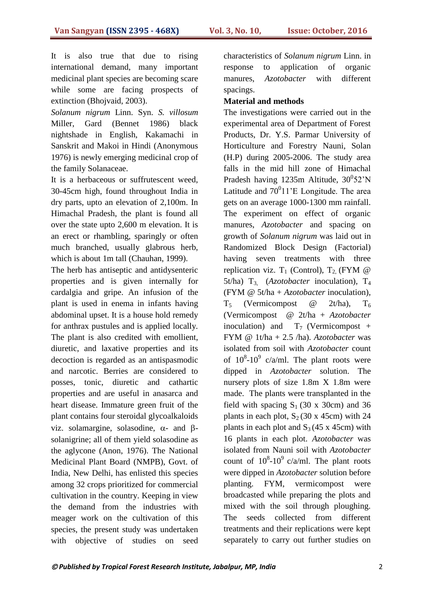It is also true that due to rising international demand, many important medicinal plant species are becoming scare while some are facing prospects of extinction (Bhojvaid, 2003).

*Solanum nigrum* Linn. Syn. *S. villosum*  Miller, Gard (Bennet 1986) black nightshade in English, Kakamachi in Sanskrit and Makoi in Hindi (Anonymous 1976) is newly emerging medicinal crop of the family Solanaceae.

It is a herbaceous or suffrutescent weed, 30-45cm high, found throughout India in dry parts, upto an elevation of 2,100m. In Himachal Pradesh, the plant is found all over the state upto 2,600 m elevation. It is an erect or rhambling, sparingly or often much branched, usually glabrous herb, which is about 1m tall (Chauhan, 1999).

The herb has antiseptic and antidysenteric properties and is given internally for cardalgia and gripe. An infusion of the plant is used in enema in infants having abdominal upset. It is a house hold remedy for anthrax pustules and is applied locally. The plant is also credited with emollient, diuretic, and laxative properties and its decoction is regarded as an antispasmodic and narcotic. Berries are considered to posses, tonic, diuretic and cathartic properties and are useful in anasarca and heart disease. Immature green fruit of the plant contains four steroidal glycoalkaloids viz. solamargine, solasodine,  $\alpha$ - and  $\beta$ solanigrine; all of them yield solasodine as the aglycone (Anon, 1976). The National Medicinal Plant Board (NMPB), Govt. of India, New Delhi, has enlisted this species among 32 crops prioritized for commercial cultivation in the country. Keeping in view the demand from the industries with meager work on the cultivation of this species, the present study was undertaken with objective of studies on seed characteristics of *Solanum nigrum* Linn. in response to application of organic manures, *Azotobacter* with different spacings.

#### **Material and methods**

The investigations were carried out in the experimental area of Department of Forest Products, Dr. Y.S. Parmar University of Horticulture and Forestry Nauni, Solan (H.P) during 2005-2006. The study area falls in the mid hill zone of Himachal Pradesh having 1235m Altitude,  $30^0$ 52'N Latitude and  $70^011$ 'E Longitude. The area gets on an average 1000-1300 mm rainfall. The experiment on effect of organic manures, *Azotobacter* and spacing on growth of *Solanum nigrum* was laid out in Randomized Block Design (Factorial) having seven treatments with three replication viz.  $T_1$  (Control),  $T_2$  (FYM @ 5t/ha)  $T_3$  (*Azotobacter* inoculation),  $T_4$ (FYM @ 5t/ha + *Azotobacter* inoculation),  $T_5$  (Vermicompost  $\omega$  2t/ha),  $T_6$ (Vermicompost @ 2t/ha + *Azotobacter* inoculation) and  $T_7$  (Vermicompost + FYM @ 1t/ha + 2.5 /ha). *Azotobacter* was isolated from soil with *Azotobacter* count of  $10^8$ - $10^9$  c/a/ml. The plant roots were dipped in *Azotobacter* solution. The nursery plots of size 1.8m X 1.8m were made. The plants were transplanted in the field with spacing  $S_1$  (30 x 30cm) and 36 plants in each plot,  $S_2$  (30 x 45cm) with 24 plants in each plot and  $S_3$  (45 x 45cm) with 16 plants in each plot. *Azotobacter* was isolated from Nauni soil with *Azotobacter*  count of  $10^8$ - $10^9$  c/a/ml. The plant roots were dipped in *Azotobacter* solution before planting. FYM, vermicompost were broadcasted while preparing the plots and mixed with the soil through ploughing. The seeds collected from different treatments and their replications were kept separately to carry out further studies on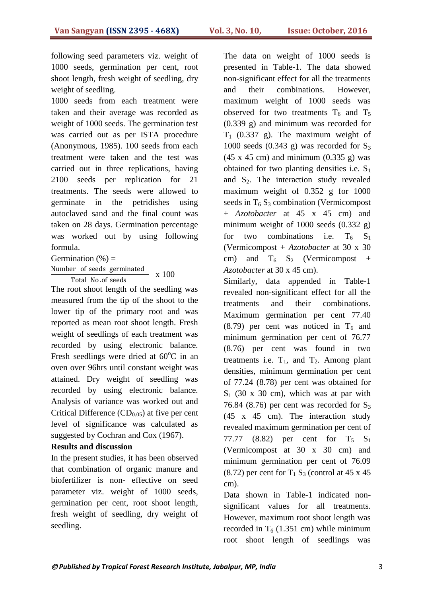following seed parameters viz. weight of 1000 seeds, germination per cent, root shoot length, fresh weight of seedling, dry weight of seedling.

1000 seeds from each treatment were taken and their average was recorded as weight of 1000 seeds. The germination test was carried out as per ISTA procedure (Anonymous, 1985). 100 seeds from each treatment were taken and the test was carried out in three replications, having 2100 seeds per replication for 21 treatments. The seeds were allowed to germinate in the petridishes using autoclaved sand and the final count was taken on 28 days. Germination percentage was worked out by using following formula.

Germination  $(\%)$  = Number of seeds germinated

Total No .of seeds x 100

The root shoot length of the seedling was measured from the tip of the shoot to the lower tip of the primary root and was reported as mean root shoot length. Fresh weight of seedlings of each treatment was recorded by using electronic balance. Fresh seedlings were dried at  $60^{\circ}$ C in an oven over 96hrs until constant weight was attained. Dry weight of seedling was recorded by using electronic balance. Analysis of variance was worked out and Critical Difference  $(CD_{0.05})$  at five per cent level of significance was calculated as suggested by Cochran and Cox (1967).

#### **Results and discussion**

In the present studies, it has been observed that combination of organic manure and biofertilizer is non- effective on seed parameter viz. weight of 1000 seeds, germination per cent, root shoot length, fresh weight of seedling, dry weight of seedling.

The data on weight of 1000 seeds is presented in Table-1. The data showed non-significant effect for all the treatments and their combinations. However, maximum weight of 1000 seeds was observed for two treatments  $T_6$  and  $T_5$ (0.339 g) and minimum was recorded for  $T_1$  (0.337 g). The maximum weight of 1000 seeds  $(0.343 \text{ g})$  was recorded for  $S_3$  $(45 \times 45 \text{ cm})$  and minimum  $(0.335 \text{ g})$  was obtained for two planting densities i.e.  $S_1$ and  $S_2$ . The interaction study revealed maximum weight of 0.352 g for 1000 seeds in  $T_6$  S<sub>3</sub> combination (Vermicompost) + *Azotobacter* at 45 x 45 cm) and minimum weight of 1000 seeds  $(0.332 \text{ g})$ for two combinations i.e.  $T_6$   $S_1$ (Vermicompost + *Azotobacter* at 30 x 30 cm) and  $T_6$  S<sub>2</sub> (Vermicompost + *Azotobacter* at 30 x 45 cm).

Similarly, data appended in Table-1 revealed non-significant effect for all the treatments and their combinations. Maximum germination per cent 77.40 (8.79) per cent was noticed in  $T_6$  and minimum germination per cent of 76.77 (8.76) per cent was found in two treatments i.e.  $T_1$ , and  $T_2$ . Among plant densities, minimum germination per cent of 77.24 (8.78) per cent was obtained for  $S_1$  (30 x 30 cm), which was at par with 76.84 (8.76) per cent was recorded for  $S_3$ (45 x 45 cm). The interaction study revealed maximum germination per cent of 77.77 (8.82) per cent for  $T_5$   $S_1$ (Vermicompost at 30 x 30 cm) and minimum germination per cent of 76.09  $(8.72)$  per cent for T<sub>1</sub> S<sub>3</sub> (control at 45 x 45) cm).

Data shown in Table-1 indicated nonsignificant values for all treatments. However, maximum root shoot length was recorded in  $T<sub>6</sub>$  (1.351 cm) while minimum root shoot length of seedlings was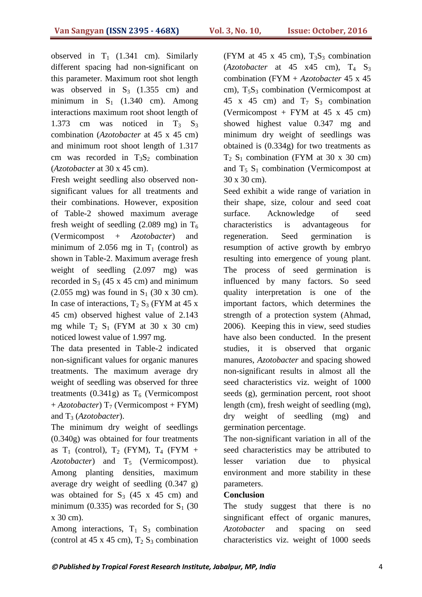observed in  $T_1$  (1.341 cm). Similarly different spacing had non-significant on this parameter. Maximum root shot length was observed in  $S_3$  (1.355 cm) and minimum in  $S_1$  (1.340 cm). Among interactions maximum root shoot length of 1.373 cm was noticed in  $T_3$   $S_3$ combination (*Azotobacter* at 45 x 45 cm) and minimum root shoot length of 1.317 cm was recorded in  $T_3S_2$  combination (*Azotobacter* at 30 x 45 cm).

Fresh weight seedling also observed nonsignificant values for all treatments and their combinations. However, exposition of Table-2 showed maximum average fresh weight of seedling (2.089 mg) in  $T_6$ (Vermicompost + *Azotobacter*) and minimum of 2.056 mg in  $T_1$  (control) as shown in Table-2. Maximum average fresh weight of seedling (2.097 mg) was recorded in  $S_3$  (45 x 45 cm) and minimum  $(2.055 \text{ mg})$  was found in S<sub>1</sub> (30 x 30 cm). In case of interactions,  $T_2 S_3$  (FYM at 45 x 45 cm) observed highest value of 2.143 mg while  $T_2$  S<sub>1</sub> (FYM at 30 x 30 cm) noticed lowest value of 1.997 mg.

The data presented in Table-2 indicated non-significant values for organic manures treatments. The maximum average dry weight of seedling was observed for three treatments (0.341g) as  $T<sub>6</sub>$  (Vermicompost  $+$  *Azotobacter*) T<sub>7</sub> (Vermicompost + FYM) and T<sup>3</sup> (*Azotobacter*).

The minimum dry weight of seedlings (0.340g) was obtained for four treatments as  $T_1$  (control),  $T_2$  (FYM),  $T_4$  (FYM + *Azotobacter*) and T<sub>5</sub> (Vermicompost). Among planting densities, maximum average dry weight of seedling (0.347 g) was obtained for  $S_3$  (45 x 45 cm) and minimum (0.335) was recorded for  $S_1$  (30 x 30 cm).

Among interactions,  $T_1$  S<sub>3</sub> combination (control at 45 x 45 cm),  $T_2 S_3$  combination (FYM at 45 x 45 cm),  $T_3S_3$  combination  $(Azotobacter \at 45 x45 cm), T<sub>4</sub> S<sub>3</sub>$ combination (FYM + *Azotobacter* 45 x 45 cm),  $T_5S_3$  combination (Vermicompost at 45 x 45 cm) and  $T_7$   $S_3$  combination (Vermicompost + FYM at  $45 \times 45$  cm) showed highest value 0.347 mg and minimum dry weight of seedlings was obtained is (0.334g) for two treatments as  $T_2$  S<sub>1</sub> combination (FYM at 30 x 30 cm) and  $T_5$  S<sub>1</sub> combination (Vermicompost at 30 x 30 cm).

Seed exhibit a wide range of variation in their shape, size, colour and seed coat surface. Acknowledge of seed characteristics is advantageous for regeneration. Seed germination is resumption of active growth by embryo resulting into emergence of young plant. The process of seed germination is influenced by many factors. So seed quality interpretation is one of the important factors, which determines the strength of a protection system (Ahmad, 2006). Keeping this in view, seed studies have also been conducted. In the present studies, it is observed that organic manures, *Azotobacter* and spacing showed non-significant results in almost all the seed characteristics viz. weight of 1000 seeds (g), germination percent, root shoot length (cm), fresh weight of seedling (mg), dry weight of seedling (mg) and germination percentage.

The non-significant variation in all of the seed characteristics may be attributed to lesser variation due to physical environment and more stability in these parameters.

#### **Conclusion**

The study suggest that there is no singnificant effect of organic manures, *Azotobacter* and spacing on seed characteristics viz. weight of 1000 seeds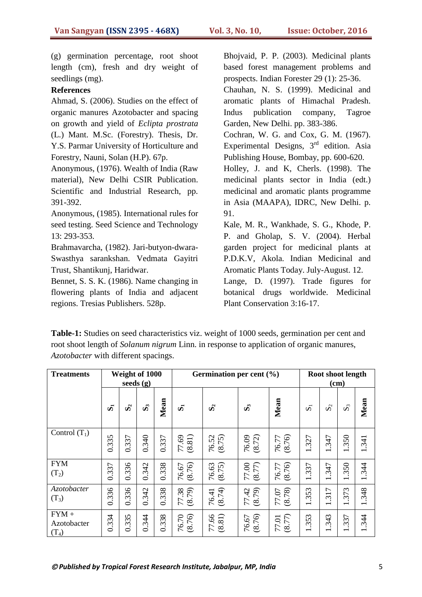(g) germination percentage, root shoot length (cm), fresh and dry weight of seedlings (mg).

#### **References**

Ahmad, S. (2006). Studies on the effect of organic manures Azotobacter and spacing on growth and yield of *Eclipta prostrata* (L.) Mant. M.Sc. (Forestry). Thesis, Dr. Y.S. Parmar University of Horticulture and Forestry, Nauni, Solan (H.P). 67p.

Anonymous, (1976). Wealth of India (Raw material), New Delhi CSIR Publication. Scientific and Industrial Research, pp. 391-392.

Anonymous, (1985). International rules for seed testing. Seed Science and Technology 13: 293-353.

Brahmavarcha, (1982). Jari-butyon-dwara-Swasthya sarankshan. Vedmata Gayitri Trust, Shantikunj, Haridwar.

Bennet, S. S. K. (1986). Name changing in flowering plants of India and adjacent regions. Tresias Publishers. 528p.

Bhojvaid, P. P. (2003). Medicinal plants based forest management problems and prospects. Indian Forester 29 (1): 25-36. Chauhan, N. S. (1999). Medicinal and aromatic plants of Himachal Pradesh. Indus publication company, Tagroe Garden, New Delhi. pp. 383-386. Cochran, W. G. and Cox, G. M. (1967). Experimental Designs, 3<sup>rd</sup> edition. Asia Publishing House, Bombay, pp. 600-620. Holley, J. and K, Cherls. (1998). The

medicinal plants sector in India (edt.) medicinal and aromatic plants programme in Asia (MAAPA), IDRC, New Delhi. p. 91.

Kale, M. R., Wankhade, S. G., Khode, P. P. and Gholap, S. V. (2004). Herbal garden project for medicinal plants at P.D.K.V, Akola. Indian Medicinal and Aromatic Plants Today. July-August. 12.

Lange, D. (1997). Trade figures for botanical drugs worldwide. Medicinal Plant Conservation 3:16-17.

**Table-1:** Studies on seed characteristics viz. weight of 1000 seeds, germination per cent and root shoot length of *Solanum nigrum* Linn. in response to application of organic manures, *Azotobacter* with different spacings.

| <b>Treatments</b>                 |                     | seeds (g)      | Weight of 1000 |       |                 | Germination per cent (%) |                     |                   |                      | Root shoot length<br>(cm)       |                                  |       |  |
|-----------------------------------|---------------------|----------------|----------------|-------|-----------------|--------------------------|---------------------|-------------------|----------------------|---------------------------------|----------------------------------|-------|--|
|                                   | $\vec{\bm{\sigma}}$ | $\mathbf{S}_2$ | $\mathbf{S}_2$ | Mean  | ທັ              | $\mathbf{S}_2$           | တိ                  | Mean              | $\bar{\mathfrak{O}}$ | $\mathbf{S}_2$                  | $\mathbf{S}_2$                   | Mean  |  |
| Control $(T_1)$                   | 0.335               | 0.337          | 0.340          | 0.337 | (8.81)<br>77.69 | (8.75)<br>76.52          | $76.09$<br>$(8.72)$ | 76.77<br>(8.76)   | 1.327                | 1.347                           | 1.350                            | 1.341 |  |
| <b>FYM</b><br>$(T_2)$             | 0.337               | 0.336          | 0.342          | 0.338 | (8.76)<br>76.67 | (8.75)<br>76.63          | $77.00$<br>(8.77)   | (8.76)<br>76.77   | 1.337                | 347<br>$\overline{\phantom{0}}$ | .350<br>$\overline{\phantom{0}}$ | 1.344 |  |
| Azotobacter<br>$(T_3)$            | 0.336               | 0.336          | 0.342          | 0.338 | 77.38<br>(8.79) | (8.74)<br>76.41          | (8.79)<br>77.42     | (8.78)<br>77.07   | 1.353                | 317<br>$\overline{\phantom{0}}$ | 373<br>$\overline{\phantom{0}}$  | 1.348 |  |
| $FYM +$<br>Azotobacter<br>$(T_4)$ | 0.334               | 0.335          | 0.344          | 0.338 | (8.76)<br>76.70 | (8.81)<br>99.<br>77      | (8.76)<br>76.67     | $77.01$<br>(8.77) | .353<br>1            | 343<br>$\overline{\phantom{0}}$ | .337<br>$\overline{\phantom{0}}$ | 1.344 |  |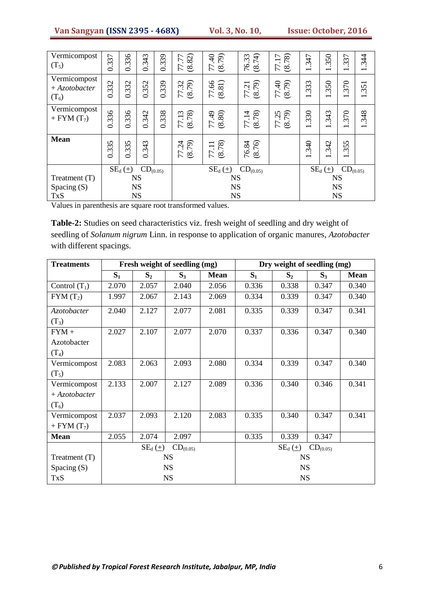| Vermicompost   |       |                       |               |       | $\mathcal{L}$              |                         |                 |                 |                          | 50                       | 37                                         |                                |
|----------------|-------|-----------------------|---------------|-------|----------------------------|-------------------------|-----------------|-----------------|--------------------------|--------------------------|--------------------------------------------|--------------------------------|
| $(T_5)$        | 0.337 | 0.336                 | 0.343         | 0.339 | (8.82)                     | 77.40<br>(8.79)         | (8.74)<br>76.33 | (8.78)<br>77.17 | 347                      | $\sim$                   | $\omega$                                   | 344                            |
|                |       |                       |               |       | 77                         |                         |                 |                 | $\overline{\phantom{0}}$ | $\overline{\phantom{0}}$ | $\overline{\phantom{0}}$                   | $\overline{\phantom{0}}$       |
| Vermicompost   |       |                       |               |       |                            |                         |                 |                 |                          |                          |                                            |                                |
| $+Azotobacter$ | 0.332 | 0.332                 | 0.352         | 0.339 | (8.79)<br>32               | $77.66$<br>$(8.81)$     | (8.79)<br>77.21 | 77.40<br>(8.79) | 1.333                    | 350                      | 370                                        | $\overline{\phantom{0}}$       |
|                |       |                       |               |       | 77                         |                         |                 |                 |                          |                          |                                            | 35<br>$\overline{\phantom{0}}$ |
| $(T_6)$        |       |                       |               |       |                            |                         |                 |                 |                          | $\overline{\phantom{0}}$ | $\overline{\phantom{0}}$                   |                                |
| Vermicompost   |       |                       |               |       |                            |                         |                 |                 |                          |                          |                                            |                                |
| + FYM $(T_7)$  | 0.336 | 0.336                 | 0.342         | 0.338 | (8.78)<br>$\overline{.13}$ | (08.8)                  | 77.14<br>(8.78) | 77.25<br>(8.79) | 1.330                    | 343                      | 370                                        | 1.348                          |
|                |       |                       |               |       | 77                         |                         |                 |                 |                          | $\overline{\phantom{0}}$ | $\overline{\phantom{0}}$                   |                                |
|                |       |                       |               |       |                            |                         |                 |                 |                          |                          |                                            |                                |
| <b>Mean</b>    |       |                       |               |       |                            |                         |                 |                 |                          |                          |                                            |                                |
|                |       |                       |               |       |                            |                         |                 |                 | 340                      | 342                      | 55                                         |                                |
|                | 0.335 | 0.335                 | 0.343         |       | (8.79)<br>77.24            | $77.11$<br>$(8.78)$     | (8.76)<br>76.84 |                 | $\overline{\phantom{0}}$ | $\overline{\phantom{0}}$ | $\dot{\omega}$<br>$\overline{\phantom{0}}$ |                                |
|                |       |                       |               |       |                            |                         |                 |                 |                          |                          |                                            |                                |
|                |       | $SE_d(\underline{+})$ | $CD_{(0.05)}$ |       |                            | $SE_{d}(\underline{+})$ | $CD_{(0.05)}$   |                 |                          | $SE_d(\pm)$              | $CD_{(0.05)}$                              |                                |
| Treatment (T)  |       |                       | <b>NS</b>     |       | <b>NS</b>                  |                         |                 |                 | <b>NS</b>                |                          |                                            |                                |
| Spacing (S)    |       |                       | <b>NS</b>     |       | <b>NS</b>                  |                         |                 |                 | <b>NS</b>                |                          |                                            |                                |
|                |       |                       |               |       |                            |                         |                 |                 |                          |                          |                                            |                                |
| <b>TxS</b>     |       |                       | <b>NS</b>     |       |                            | <b>NS</b>               |                 |                 |                          | <b>NS</b>                |                                            |                                |

Values in parenthesis are square root transformed values.

**Table-2:** Studies on seed characteristics viz. fresh weight of seedling and dry weight of seedling of *Solanum nigrum* Linn. in response to application of organic manures, *Azotobacter* with different spacings.

| <b>Treatments</b> |                              |                | Fresh weight of seedling (mg) |             | Dry weight of seedling (mg) |                |               |             |
|-------------------|------------------------------|----------------|-------------------------------|-------------|-----------------------------|----------------|---------------|-------------|
|                   | $S_1$                        | S <sub>2</sub> | $S_3$                         | <b>Mean</b> | $S_1$                       | S <sub>2</sub> | $S_3$         | <b>Mean</b> |
| Control $(T_1)$   | 2.070                        | 2.057          | 2.040                         | 2.056       | 0.336                       | 0.338          | 0.347         | 0.340       |
| $FYM(T_2)$        | 1.997                        | 2.067          | 2.143                         | 2.069       | 0.334                       | 0.339          | 0.347         | 0.340       |
| Azotobacter       | 2.040                        | 2.127          | 2.077                         | 2.081       | 0.335                       | 0.339          | 0.347         | 0.341       |
| $(T_3)$           |                              |                |                               |             |                             |                |               |             |
| $FYM +$           | 2.027                        | 2.107          | 2.077                         | 2.070       | 0.337                       | 0.336          | 0.347         | 0.340       |
| Azotobacter       |                              |                |                               |             |                             |                |               |             |
| $(T_4)$           |                              |                |                               |             |                             |                |               |             |
| Vermicompost      | 2.083                        | 2.063          | 2.093                         | 2.080       | 0.334                       | 0.339          | 0.347         | 0.340       |
| $(T_5)$           |                              |                |                               |             |                             |                |               |             |
| Vermicompost      | 2.133                        | 2.007          | 2.127                         | 2.089       | 0.336                       | 0.340          | 0.346         | 0.341       |
| $+Azotobacter$    |                              |                |                               |             |                             |                |               |             |
| $(T_6)$           |                              |                |                               |             |                             |                |               |             |
| Vermicompost      | 2.037                        | 2.093          | 2.120                         | 2.083       | 0.335                       | 0.340          | 0.347         | 0.341       |
| + FYM $(T_7)$     |                              |                |                               |             |                             |                |               |             |
| <b>Mean</b>       | 2.055                        | 2.074          | 2.097                         |             | 0.335                       | 0.339          | 0.347         |             |
|                   | $SE_d(\pm)$<br>$CD_{(0.05)}$ |                |                               |             |                             | $SE_{d}(\pm)$  | $CD_{(0.05)}$ |             |
| Treatment (T)     |                              |                | <b>NS</b>                     |             | <b>NS</b>                   |                |               |             |
| Spacing $(S)$     |                              |                | <b>NS</b>                     |             | <b>NS</b>                   |                |               |             |
| <b>TxS</b>        |                              |                | <b>NS</b>                     |             |                             | <b>NS</b>      |               |             |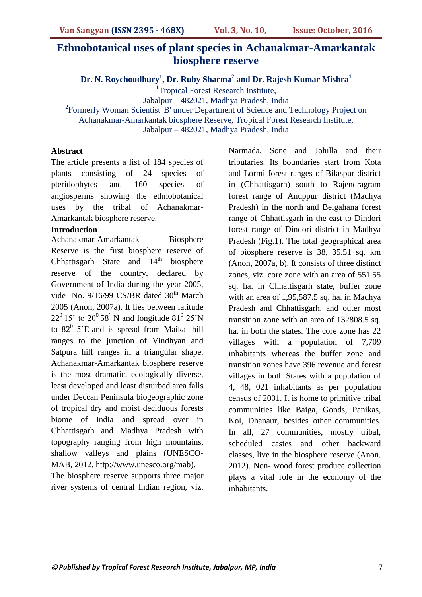# **Ethnobotanical uses of plant species in Achanakmar-Amarkantak biosphere reserve**

**Dr. N. Roychoudhury<sup>1</sup> , Dr. Ruby Sharma<sup>2</sup> and Dr. Rajesh Kumar Mishra<sup>1</sup>**

<sup>1</sup>Tropical Forest Research Institute,

Jabalpur – 482021, Madhya Pradesh, India

<sup>2</sup>Formerly Woman Scientist 'B' under Department of Science and Technology Project on

Achanakmar-Amarkantak biosphere Reserve, Tropical Forest Research Institute,

Jabalpur – 482021, Madhya Pradesh, India

#### **Abstract**

The article presents a list of 184 species of plants consisting of 24 species of pteridophytes and 160 species of angiosperms showing the ethnobotanical uses by the tribal of Achanakmar-Amarkantak biosphere reserve.

#### **Introduction**

Achanakmar-Amarkantak Biosphere Reserve is the first biosphere reserve of Chhattisgarh State and  $14<sup>th</sup>$  biosphere reserve of the country, declared by Government of India during the year 2005, vide No. 9/16/99 CS/BR dated  $30<sup>th</sup>$  March 2005 (Anon, 2007a). It lies between latitude  $22^0$  15' to  $20^0$  58<sup>'</sup> N and longitude 81<sup>0</sup> 25'N to  $82^0$  5'E and is spread from Maikal hill ranges to the junction of Vindhyan and Satpura hill ranges in a triangular shape. Achanakmar-Amarkantak biosphere reserve is the most dramatic, ecologically diverse, least developed and least disturbed area falls under Deccan Peninsula biogeographic zone of tropical dry and moist deciduous forests biome of India and spread over in Chhattisgarh and Madhya Pradesh with topography ranging from high mountains, shallow valleys and plains (UNESCO-MAB, 2012, http://www.unesco.org/mab).

The biosphere reserve supports three major river systems of central Indian region, viz.

Narmada, Sone and Johilla and their tributaries. Its boundaries start from Kota and Lormi forest ranges of Bilaspur district in (Chhattisgarh) south to Rajendragram forest range of Anuppur district (Madhya Pradesh) in the north and Belgahana forest range of Chhattisgarh in the east to Dindori forest range of Dindori district in Madhya Pradesh (Fig.1). The total geographical area of biosphere reserve is 38, 35.51 sq. km (Anon, 2007a, b). It consists of three distinct zones, viz. core zone with an area of 551.55 sq. ha. in Chhattisgarh state, buffer zone with an area of 1,95,587.5 sq. ha. in Madhya Pradesh and Chhattisgarh, and outer most transition zone with an area of 132808.5 sq. ha. in both the states. The core zone has 22 villages with a population of 7,709 inhabitants whereas the buffer zone and transition zones have 396 revenue and forest villages in both States with a population of 4, 48, 021 inhabitants as per population census of 2001. It is home to primitive tribal communities like Baiga, Gonds, Panikas, Kol, Dhanaur, besides other communities. In all, 27 communities, mostly tribal, scheduled castes and other backward classes, live in the biosphere reserve (Anon, 2012). Non- wood forest produce collection plays a vital role in the economy of the inhabitants.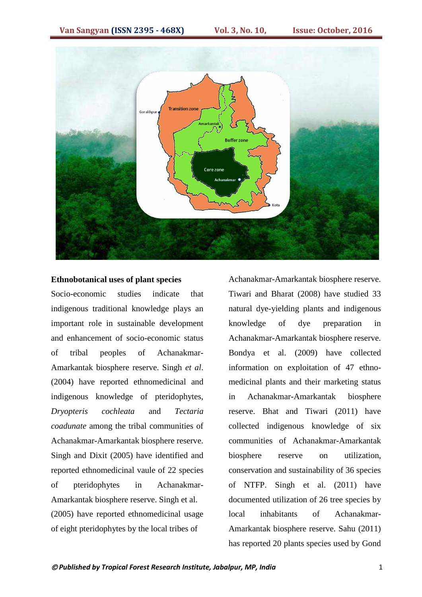

#### **Ethnobotanical uses of plant species**

Socio-economic studies indicate that indigenous traditional knowledge plays an important role in sustainable development and enhancement of socio-economic status of tribal peoples of Achanakmar-Amarkantak biosphere reserve. Singh *et al*. (2004) have reported ethnomedicinal and indigenous knowledge of pteridophytes, *Dryopteris cochleata* and *Tectaria coadunate* among the tribal communities of Achanakmar-Amarkantak biosphere reserve. Singh and Dixit (2005) have identified and reported ethnomedicinal vaule of 22 species of pteridophytes in Achanakmar-Amarkantak biosphere reserve. Singh et al. (2005) have reported ethnomedicinal usage of eight pteridophytes by the local tribes of

Achanakmar-Amarkantak biosphere reserve. Tiwari and Bharat (2008) have studied 33 natural dye-yielding plants and indigenous knowledge of dye preparation in Achanakmar-Amarkantak biosphere reserve. Bondya et al. (2009) have collected information on exploitation of 47 ethnomedicinal plants and their marketing status in Achanakmar-Amarkantak biosphere reserve. Bhat and Tiwari (2011) have collected indigenous knowledge of six communities of Achanakmar-Amarkantak biosphere reserve on utilization, conservation and sustainability of 36 species of NTFP. Singh et al. (2011) have documented utilization of 26 tree species by local inhabitants of Achanakmar-Amarkantak biosphere reserve. Sahu (2011) has reported 20 plants species used by Gond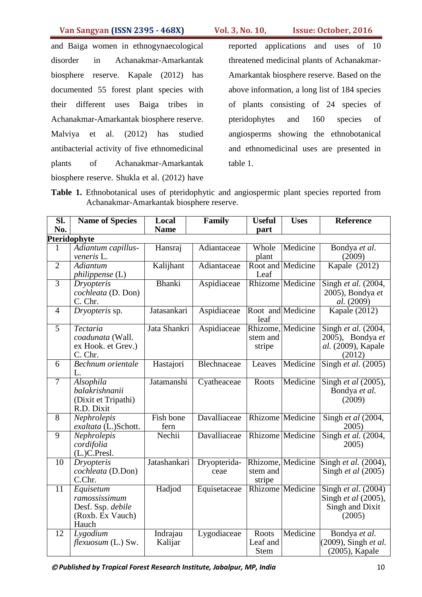and Baiga women in ethnogynaecological disorder in Achanakmar-Amarkantak biosphere reserve. Kapale (2012) has documented 55 forest plant species with their different uses Baiga tribes in Achanakmar-Amarkantak biosphere reserve. Malviya et al. (2012) has studied antibacterial activity of five ethnomedicinal plants of Achanakmar-Amarkantak biosphere reserve. Shukla et al. (2012) have reported applications and uses of 10 threatened medicinal plants of Achanakmar-Amarkantak biosphere reserve. Based on the above information, a long list of 184 species of plants consisting of 24 species of pteridophytes and 160 species of angiosperms showing the ethnobotanical and ethnomedicinal uses are presented in table 1.

Table 1. Ethnobotanical uses of pteridophytic and angiospermic plant species reported from Achanakmar-Amarkantak biosphere reserve.

| $\overline{\text{SL}}$ | <b>Name of Species</b>                                                       | Local               | Family               | <b>Useful</b>                    | <b>Uses</b>             | <b>Reference</b>                                                                             |
|------------------------|------------------------------------------------------------------------------|---------------------|----------------------|----------------------------------|-------------------------|----------------------------------------------------------------------------------------------|
| No.                    |                                                                              | <b>Name</b>         |                      | part                             |                         |                                                                                              |
|                        | Pteridophyte                                                                 |                     |                      |                                  |                         |                                                                                              |
| 1                      | Adiantum capillus-<br>veneris L.                                             | Hansraj             | Adiantaceae          | Whole<br>plant                   | Medicine                | Bondya et al.<br>(2009)                                                                      |
| $\overline{2}$         | <b>Adiantum</b><br><i>philippense</i> (L)                                    | Kalijhant           | Adiantaceae          | Leaf                             | Root and Medicine       | Kapale $(2012)$                                                                              |
| $\overline{3}$         | <b>Dryopteris</b><br>cochleata (D. Don)<br>C. Chr.                           | Bhanki              | Aspidiaceae          |                                  | <b>Rhizome</b> Medicine | Singh et al. $(2004,$<br>2005), Bondya et<br>al. (2009)                                      |
| $\overline{4}$         | Dryopteris sp.                                                               | Jatasankari         | Aspidiaceae          | leaf                             | Root and Medicine       | Kapale (2012)                                                                                |
| $\overline{5}$         | Tectaria<br>coadunata (Wall.<br>ex Hook. et Grev.)<br>C. Chr.                | Jata Shankri        | Aspidiaceae          | stem and<br>stripe               | Rhizome, Medicine       | Singh et al. (2004,<br>2005), Bondya et<br>al. (2009), Kapale<br>(2012)                      |
| 6                      | <b>Bechnum</b> orientale<br>L.                                               | Hastajori           | Blechnaceae          | Leaves                           | Medicine                | Singh et al. $(2005)$                                                                        |
| $\overline{7}$         | Alsophila<br>balakrishnanii<br>(Dixit et Tripathi)<br>R.D. Dixit             | Jatamanshi          | Cyatheaceae          | Roots                            | Medicine                | Singh et al (2005),<br>Bondya et al.<br>(2009)                                               |
| 8                      | Nephrolepis<br>exaltata (L.)Schott.                                          | Fish bone<br>fern   | Davalliaceae         |                                  | <b>Rhizome</b> Medicine | Singh et al (2004,<br>2005)                                                                  |
| $\overline{9}$         | Nephrolepis<br>cordifolia<br>$(L)$ C.Presl.                                  | Nechii              | Davalliaceae         |                                  | <b>Rhizome</b> Medicine | Singh et al. (2004,<br>2005)                                                                 |
| 10                     | <b>Dryopteris</b><br>cochleata (D.Don)<br>C.Chr.                             | Jatashankari        | Dryopterida-<br>ceae | stem and<br>stripe               | Rhizome, Medicine       | Singh et al. (2004),<br>Singh <i>et al</i> (2005)                                            |
| 11                     | Equisetum<br>ramossissimum<br>Desf. Ssp. debile<br>(Roxb. Ex Vauch)<br>Hauch | Hadjod              | Equisetaceae         |                                  | Rhizome Medicine        | $\overline{\text{Sing}}$ h et al. (2004)<br>Singh et al (2005),<br>Singh and Dixit<br>(2005) |
| 12                     | Lygodium<br>flexuosum (L.) Sw.                                               | Indrajau<br>Kalijar | Lygodiaceae          | Roots<br>Leaf and<br><b>Stem</b> | Medicine                | Bondya et al.<br>(2009), Singh et al.<br>(2005), Kapale                                      |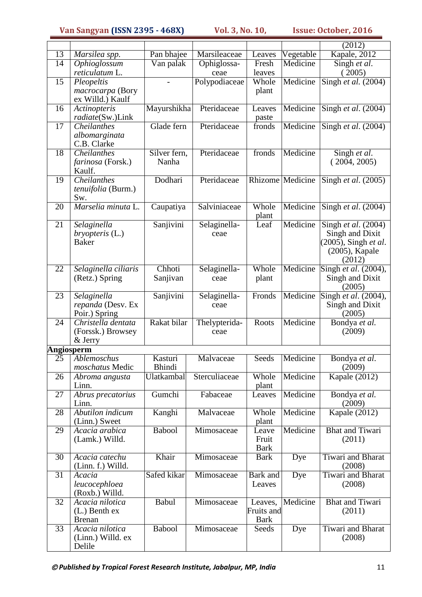|                 |                                     |               |                      |                   |                  | (2012)                                     |
|-----------------|-------------------------------------|---------------|----------------------|-------------------|------------------|--------------------------------------------|
| 13              | Marsilea spp.                       | Pan bhajee    | Marsileaceae         | Leaves            | Vegetable        | Kapale, 2012                               |
| $\overline{14}$ | Ophioglossum                        | Van palak     | Ophiglossa-          | Fresh             | Medicine         | Singh et al.                               |
|                 | reticulatum L.                      |               | ceae                 | leaves            |                  | (2005)                                     |
| 15              | Pleopeltis                          |               | Polypodiaceae        | Whole             | Medicine         | Singh et al. $(2004)$                      |
|                 | macrocarpa (Bory                    |               |                      | plant             |                  |                                            |
|                 | ex Willd.) Kaulf                    |               |                      |                   |                  |                                            |
| 16              | Actinopteris<br>radiate(Sw.)Link    | Mayurshikha   | Pteridaceae          | Leaves            | Medicine         | Singh et al. $(2004)$                      |
| 17              | <b>Cheilanthes</b>                  | Glade fern    | Pteridaceae          | paste<br>fronds   | Medicine         | Singh et al. (2004)                        |
|                 | albomarginata                       |               |                      |                   |                  |                                            |
|                 | C.B. Clarke                         |               |                      |                   |                  |                                            |
| 18              | <b>Cheilanthes</b>                  | Silver fern,  | Pteridaceae          | fronds            | Medicine         | Singh et al.                               |
|                 | farinosa (Forsk.)                   | Nanha         |                      |                   |                  | (2004, 2005)                               |
|                 | Kaulf.                              |               |                      |                   |                  |                                            |
| $\overline{19}$ | <b>Cheilanthes</b>                  | Dodhari       | Pteridaceae          |                   | Rhizome Medicine | Singh <i>et al.</i> $(2005)$               |
|                 | tenuifolia (Burm.)                  |               |                      |                   |                  |                                            |
| 20              | Sw.<br>Marselia minuta L.           |               | Salviniaceae         | Whole             | Medicine         |                                            |
|                 |                                     | Caupatiya     |                      | plant             |                  | Singh et al. (2004)                        |
| 21              | Selaginella                         | Sanjivini     | Selaginella-         | Leaf              | Medicine         | Singh et al. $(2004)$                      |
|                 | $bryopteris$ (L.)                   |               | ceae                 |                   |                  | Singh and Dixit                            |
|                 | <b>Baker</b>                        |               |                      |                   |                  | (2005), Singh et al.                       |
|                 |                                     |               |                      |                   |                  | (2005), Kapale                             |
|                 |                                     |               |                      |                   |                  | (2012)                                     |
| 22              | Selaginella ciliaris                | Chhoti        | Selaginella-         | Whole             | Medicine         | Singh et al. (2004),                       |
|                 | (Retz.) Spring                      | Sanjivan      | ceae                 | plant             |                  | Singh and Dixit                            |
|                 |                                     |               |                      |                   | Medicine         | (2005)                                     |
| 23              | Selaginella<br>repanda (Desv. Ex    | Sanjivini     | Selaginella-<br>ceae | Fronds            |                  | Singh et al. $(2004)$ ,<br>Singh and Dixit |
|                 | Poir.) Spring                       |               |                      |                   |                  | (2005)                                     |
| 24              | Christella dentata                  | Rakat bilar   | Thelypterida-        | Roots             | Medicine         | Bondya et al.                              |
|                 | (Forssk.) Browsey                   |               | ceae                 |                   |                  | (2009)                                     |
|                 | & Jerry                             |               |                      |                   |                  |                                            |
| Angiosperm      |                                     |               |                      |                   |                  |                                            |
| 25              | Ablemoschus                         | Kasturi       | Malvaceae            | Seeds             | Medicine         | Bondya et al.                              |
|                 | moschatus Medic                     | <b>Bhindi</b> |                      |                   |                  | (2009)                                     |
| $\overline{2}6$ | Abroma angusta<br>Linn.             | Ulatkambal    | Sterculiaceae        | Whole<br>plant    | Medicine         | <b>Kapale</b> (2012)                       |
| 27              | Abrus precatorius                   | Gumchi        | Fabaceae             | Leaves            | Medicine         | Bondya et al.                              |
|                 | Linn.                               |               |                      |                   |                  | (2009)                                     |
| 28              | Abutilon indicum                    | Kanghi        | Malvaceae            | Whole             | Medicine         | Kapale (2012)                              |
|                 | (Linn.) Sweet                       |               |                      | plant             |                  |                                            |
| 29              | Acacia arabica                      | <b>Babool</b> | Mimosaceae           | Leave             | Medicine         | <b>Bhat and Tiwari</b>                     |
|                 | (Lamk.) Willd.                      |               |                      | Fruit             |                  | (2011)                                     |
|                 |                                     |               |                      | <b>Bark</b>       |                  |                                            |
| 30              | Acacia catechu<br>(Linn. f.) Willd. | Khair         | Mimosaceae           | <b>Bark</b>       | Dye              | Tiwari and Bharat<br>(2008)                |
| $\overline{31}$ | Acacia                              | Safed kikar   | Mimosaceae           | Bark and          | Dye              | Tiwari and Bharat                          |
|                 | leucocephloea                       |               |                      | Leaves            |                  | (2008)                                     |
|                 | (Roxb.) Willd.                      |               |                      |                   |                  |                                            |
| 32              | Acacia nilotica                     | Babul         | Mimosaceae           | Leaves,           | Medicine         | Bhat and Tiwari                            |
|                 | $(L.)$ Benth ex                     |               |                      | <b>Fruits and</b> |                  | (2011)                                     |
|                 | <b>Brenan</b>                       |               |                      | <b>Bark</b>       |                  |                                            |
| 33              | Acacia nilotica                     | Babool        | Mimosaceae           | Seeds             | Dye              | Tiwari and Bharat                          |
|                 | (Linn.) Willd. ex                   |               |                      |                   |                  | (2008)                                     |
|                 | Delile                              |               |                      |                   |                  |                                            |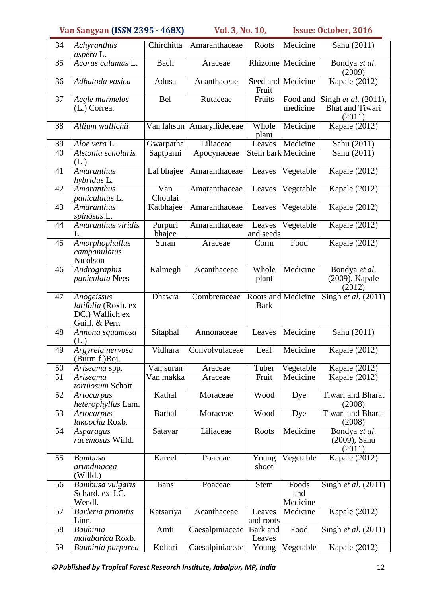| 34              | Achyranthus                                                            | Chirchitta        | Amaranthaceae   | Roots                             | Medicine                 | Sahu (2011)                               |
|-----------------|------------------------------------------------------------------------|-------------------|-----------------|-----------------------------------|--------------------------|-------------------------------------------|
|                 | aspera L.                                                              |                   |                 |                                   |                          |                                           |
| $\overline{35}$ | Acorus calamus L.                                                      | Bach              | Araceae         |                                   | Rhizome Medicine         | Bondya et al.<br>(2009)                   |
| 36              | Adhatoda vasica                                                        | Adusa             | Acanthaceae     | Fruit                             | Seed and Medicine        | Kapale (2012)                             |
| 37              | Aegle marmelos                                                         | <b>Bel</b>        | Rutaceae        | Fruits                            | Food and                 | Singh et al. (2011),                      |
|                 | $(L.)$ Correa.                                                         |                   |                 |                                   | medicine                 | <b>Bhat and Tiwari</b><br>(2011)          |
| 38              | Allium wallichii                                                       | Van lahsun        | Amaryllideceae  | Whole<br>plant                    | Medicine                 | <b>Kapale</b> (2012)                      |
| 39              | Aloe vera L.                                                           | Gwarpatha         | Liliaceae       | Leaves                            | Medicine                 | Sahu (2011)                               |
| 40              | Alstonia scholaris<br>(L.)                                             | Saptparni         | Apocynaceae     | Stem bark Medicine                |                          | Sahu (2011)                               |
| 41              | <b>Amaranthus</b><br>hybridus L.                                       | Lal bhajee        | Amaranthaceae   | Leaves                            | Vegetable                | Kapale (2012)                             |
| 42              | Amaranthus<br>paniculatus L.                                           | Van<br>Choulai    | Amaranthaceae   | Leaves                            | Vegetable                | Kapale (2012)                             |
| 43              | <b>Amaranthus</b><br>spinosus L.                                       | Katbhajee         | Amaranthaceae   | Leaves                            | Vegetable                | <b>Kapale</b> (2012)                      |
| 44              | Amaranthus viridis<br>L.                                               | Purpuri<br>bhajee | Amaranthaceae   | Leaves<br>and seeds               | Vegetable                | Kapale (2012)                             |
| 45              | Amorphophallus<br>campanulatus<br>Nicolson                             | Suran             | Araceae         | Corm                              | Food                     | Kapale (2012)                             |
| 46              | Andrographis<br><i>paniculata</i> Nees                                 | Kalmegh           | Acanthaceae     | Whole<br>plant                    | Medicine                 | Bondya et al.<br>(2009), Kapale<br>(2012) |
| 47              | Anogeissus<br>latifolia (Roxb. ex<br>DC.) Wallich ex<br>Guill. & Perr. | Dhawra            | Combretaceae    | Roots and Medicine<br><b>Bark</b> |                          | Singh et al. $(2011)$                     |
| 48              | Annona squamosa<br>(L)                                                 | Sitaphal          | Annonaceae      | Leaves                            | Medicine                 | Sahu (2011)                               |
| 49              | Argyreia nervosa<br>(Burm.f.) Boj.                                     | Vidhara           | Convolvulaceae  | Leaf                              | Medicine                 | Kapale (2012)                             |
| 50              | Ariseama spp.                                                          | Van suran         | Araceae         | Tuber                             | Vegetable                | Kapale (2012)                             |
| $\overline{51}$ | Ariseama<br>tortuosum Schott                                           | Van makka         | Araceae         | Fruit                             | Medicine                 | Kapale (2012)                             |
| $\overline{52}$ | Artocarpus<br>heterophyllus Lam.                                       | Kathal            | Moraceae        | Wood                              | Dye                      | <b>Tiwari and Bharat</b><br>(2008)        |
| 53              | <b>Artocarpus</b><br>lakoocha Roxb.                                    | <b>Barhal</b>     | Moraceae        | Wood                              | Dye                      | Tiwari and Bharat<br>(2008)               |
| 54              | Asparagus<br>racemosus Willd.                                          | Satavar           | Liliaceae       | Roots                             | Medicine                 | Bondya et al.<br>(2009), Sahu<br>(2011)   |
| 55              | <b>Bambusa</b><br>arundinacea<br>(Willd.)                              | Kareel            | Poaceae         | Young<br>shoot                    | Vegetable                | <b>Kapale</b> (2012)                      |
| 56              | Bambusa vulgaris<br>Schard. ex-J.C.<br>Wendl.                          | <b>Bans</b>       | Poaceae         | <b>Stem</b>                       | Foods<br>and<br>Medicine | Singh et al. (2011)                       |
| 57              | Barleria prionitis<br>Linn.                                            | Katsariya         | Acanthaceae     | Leaves<br>and roots               | Medicine                 | Kapale (2012)                             |
| $\overline{58}$ | Bauhinia<br>malabarica Roxb.                                           | Amti              | Caesalpiniaceae | Bark and<br>Leaves                | Food                     | Singh et al. $(2011)$                     |
| 59              | Bauhinia purpurea                                                      | Koliari           | Caesalpiniaceae | Young                             | Vegetable                | Kapale (2012)                             |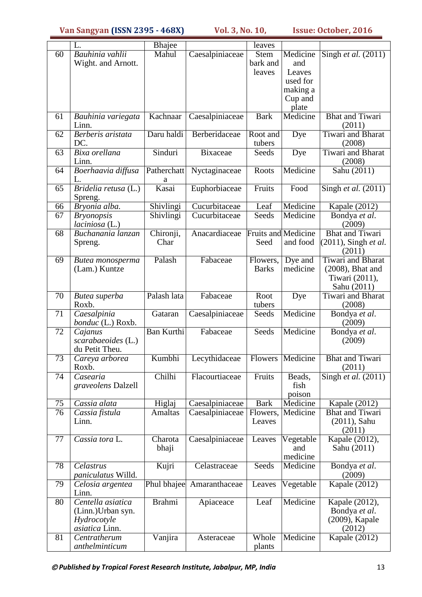|                 | L.                                     | <b>Bhajee</b>     |                 | leaves                     |                    |                                                |
|-----------------|----------------------------------------|-------------------|-----------------|----------------------------|--------------------|------------------------------------------------|
| $\overline{60}$ | Bauhinia vahlii                        | Mahul             | Caesalpiniaceae | Stem                       | Medicine           | Singh <i>et al.</i> $(2011)$                   |
|                 | Wight. and Arnott.                     |                   |                 | bark and                   | and                |                                                |
|                 |                                        |                   |                 | leaves                     | Leaves<br>used for |                                                |
|                 |                                        |                   |                 |                            | making a           |                                                |
|                 |                                        |                   |                 |                            | Cup and            |                                                |
|                 |                                        |                   |                 |                            | plate              |                                                |
| 61              | Bauhinia variegata                     | Kachnaar          | Caesalpiniaceae | <b>Bark</b>                | Medicine           | <b>Bhat and Tiwari</b>                         |
|                 | Linn.                                  |                   |                 |                            |                    | (2011)                                         |
| 62              | Berberis aristata<br>DC.               | Daru haldi        | Berberidaceae   | Root and<br>tubers         | Dye                | <b>Tiwari</b> and Bharat<br>(2008)             |
| 63              | Bixa orellana<br>Linn.                 | Sinduri           | <b>Bixaceae</b> | Seeds                      | Dye                | <b>Tiwari</b> and <b>Bharat</b><br>(2008)      |
| 64              | Boerhaavia diffusa<br>L.               | Patherchatt<br>а  | Nyctaginaceae   | Roots                      | Medicine           | Sahu (2011)                                    |
| 65              | Bridelia retusa (L.)<br>Spreng.        | Kasai             | Euphorbiaceae   | Fruits                     | Food               | Singh et al. $(2011)$                          |
| 66              | Bryonia alba.                          | Shivlingi         | Cucurbitaceae   | Leaf                       | Medicine           | Kapale (2012)                                  |
| 67              | <b>Bryonopsis</b><br>$laciniosa$ (L.)  | Shivlingi         | Cucurbitaceae   | Seeds                      | Medicine           | Bondya et al.<br>(2009)                        |
| 68              | Buchanania lanzan                      | Chironji,         | Anacardiaceae   | <b>Fruits and Medicine</b> |                    | <b>Bhat and Tiwari</b>                         |
|                 | Spreng.                                | Char              |                 | Seed                       | and food           | (2011), Singh et al.<br>(2011)                 |
| 69              | Butea monosperma                       | Palash            | Fabaceae        | Flowers,                   | Dye and            | Tiwari and Bharat                              |
|                 | (Lam.) Kuntze                          |                   |                 | <b>Barks</b>               | medicine           | $(2008)$ , Bhat and                            |
|                 |                                        |                   |                 |                            |                    | Tiwari (2011),                                 |
| 70              | Butea superba                          | Palash lata       | Fabaceae        | Root                       | Dye                | Sahu (2011)<br><b>Tiwari</b> and <b>Bharat</b> |
|                 | Roxb.                                  |                   |                 | tubers                     |                    | (2008)                                         |
| 71              | Caesalpinia<br>bonduc (L.) Roxb.       | Gataran           | Caesalpiniaceae | Seeds                      | Medicine           | Bondya et al.<br>(2009)                        |
| 72              | Cajanus                                | <b>Ban Kurthi</b> | Fabaceae        | Seeds                      | Medicine           | Bondya et al.                                  |
|                 | scarabaeoides (L.)                     |                   |                 |                            |                    | (2009)                                         |
| 73              | du Petit Theu.<br>Careya arborea       | Kumbhi            | Lecythidaceae   | <b>Flowers</b>             | Medicine           | <b>Bhat and Tiwari</b>                         |
|                 | Roxb.                                  |                   |                 |                            |                    | (2011)                                         |
| 74              | Casearia                               | Chilhi            | Flacourtiaceae  | Fruits                     | Beads,             | Singh et al. (2011)                            |
|                 | graveolens Dalzell                     |                   |                 |                            | fish               |                                                |
|                 |                                        |                   |                 |                            | poison             |                                                |
| 75              | Cassia alata                           | Higlaj            | Caesalpiniaceae | <b>Bark</b>                | Medicine           | Kapale (2012)                                  |
| 76              | Cassia fistula<br>Linn.                | <b>Amaltas</b>    | Caesalpiniaceae | Flowers,<br>Leaves         | Medicine           | <b>Bhat and Tiwari</b><br>$(2011)$ , Sahu      |
|                 |                                        |                   |                 |                            |                    | (2011)                                         |
| 77              | Cassia tora L.                         | Charota           | Caesalpiniaceae | Leaves                     | Vegetable          | Kapale (2012),                                 |
|                 |                                        | bhaji             |                 |                            | and                | Sahu (2011)                                    |
|                 |                                        |                   |                 |                            | medicine           |                                                |
| 78              | Celastrus<br><i>paniculatus</i> Willd. | Kujri             | Celastraceae    | Seeds                      | Medicine           | Bondya et al.<br>(2009)                        |
| 79              | Celosia argentea<br>Linn.              | Phul bhajee       | Amaranthaceae   | Leaves                     | Vegetable          | Kapale $(2012)$                                |
| 80              | Centella asiatica                      | <b>Brahmi</b>     | Apiaceace       | Leaf                       | Medicine           | Kapale (2012),                                 |
|                 | (Linn.) Urban syn.                     |                   |                 |                            |                    | Bondya et al.                                  |
|                 | Hydrocotyle<br>asiatica Linn.          |                   |                 |                            |                    | (2009), Kapale<br>(2012)                       |
| 81              | Centratherum                           | Vanjira           | Asteraceae      | Whole                      | Medicine           | Kapale (2012)                                  |
|                 | anthelminticum                         |                   |                 | plants                     |                    |                                                |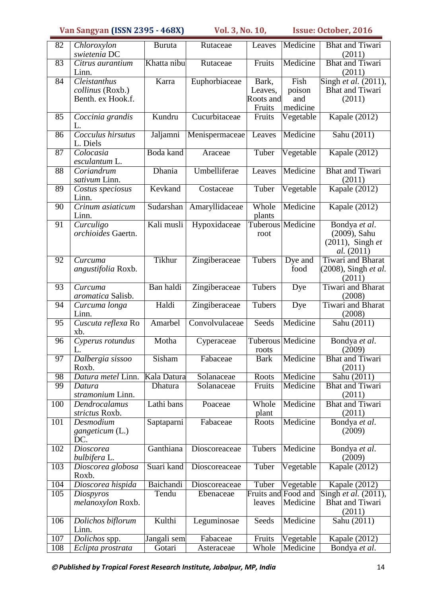| 82              | Chloroxylon<br>swietenia DC                           | <b>Buruta</b>               | Rutaceae       | Leaves                                  | Medicine                          | <b>Bhat and Tiwari</b><br>(2011)                                          |
|-----------------|-------------------------------------------------------|-----------------------------|----------------|-----------------------------------------|-----------------------------------|---------------------------------------------------------------------------|
| $\overline{83}$ | Citrus aurantium<br>Linn.                             | Khatta nibu                 | Rutaceae       | Fruits                                  | Medicine                          | <b>Bhat and Tiwari</b><br>(2011)                                          |
| 84              | Cleistanthus<br>collinus (Roxb.)<br>Benth. ex Hook.f. | Karra                       | Euphorbiaceae  | Bark,<br>Leaves,<br>Roots and<br>Fruits | Fish<br>poison<br>and<br>medicine | Singh et al. (2011),<br><b>Bhat and Tiwari</b><br>(2011)                  |
| 85              | Coccinia grandis<br>L.                                | Kundru                      | Cucurbitaceae  | Fruits                                  | Vegetable                         | Kapale (2012)                                                             |
| 86              | Cocculus hirsutus<br>L. Diels                         | Jaljamni                    | Menispermaceae | Leaves                                  | Medicine                          | Sahu (2011)                                                               |
| $\overline{87}$ | Colocasia<br>esculantum L.                            | <b>Boda</b> kand            | Araceae        | Tuber                                   | Vegetable                         | <b>Kapale</b> (2012)                                                      |
| 88              | Coriandrum<br>sativum Linn.                           | Dhania                      | Umbelliferae   | Leaves                                  | Medicine                          | <b>Bhat and Tiwari</b><br>(2011)                                          |
| 89              | Costus speciosus<br>Linn.                             | Kevkand                     | Costaceae      | Tuber                                   | Vegetable                         | Kapale (2012)                                                             |
| 90              | Crinum asiaticum<br>Linn.                             | Sudarshan                   | Amaryllidaceae | Whole<br>plants                         | Medicine                          | Kapale $(2012)$                                                           |
| 91              | Curculigo<br>orchioides Gaertn.                       | Kali musli                  | Hypoxidaceae   | root                                    | <b>Tuberous Medicine</b>          | Bondya et al.<br>(2009), Sahu<br>$(2011)$ , Singh et<br><i>al.</i> (2011) |
| 92              | Curcuma<br>angustifolia Roxb.                         | Tikhur                      | Zingiberaceae  | Tubers                                  | Dye and<br>food                   | <b>Tiwari</b> and <b>Bharat</b><br>(2008), Singh et al.<br>(2011)         |
| 93              | $\overline{C}$ urcuma<br>aromatica Salisb.            | Ban haldi                   | Zingiberaceae  | Tubers                                  | Dye                               | <b>Tiwari and Bharat</b><br>(2008)                                        |
| 94              | Curcuma longa<br>Linn.                                | Haldi                       | Zingiberaceae  | Tubers                                  | Dye                               | <b>Tiwari and Bharat</b><br>(2008)                                        |
| 95              | Cuscuta reflexa Ro<br>xb.                             | Amarbel                     | Convolvulaceae | Seeds                                   | Medicine                          | Sahu $(20\overline{11})$                                                  |
| 96              | Cyperus rotundus<br>L.                                | Motha                       | Cyperaceae     | roots                                   | <b>Tuberous Medicine</b>          | Bondya et al.<br>(2009)                                                   |
| 97              | Dalbergia sissoo<br>Roxb.                             | $\overline{\text{S}}$ isham | Fabaceae       | <b>Bark</b>                             | Medicine                          | <b>Bhat and Tiwari</b><br>(2011)                                          |
| 98              | Datura metel Linn.                                    | Kala Datura                 | Solanaceae     | Roots                                   | Medicine                          | Sahu (2011)                                                               |
| 99              | Datura<br>stramonium Linn.                            | Dhatura                     | Solanaceae     | Fruits                                  | Medicine                          | <b>Bhat and Tiwari</b><br>(2011)                                          |
| 100             | Dendrocalamus<br>strictus Roxb.                       | Lathi bans                  | Poaceae        | Whole<br>plant                          | Medicine                          | <b>Bhat and Tiwari</b><br>(2011)                                          |
| 101             | Desmodium<br>gangeticum (L.)<br>DC.                   | Saptaparni                  | Fabaceae       | Roots                                   | Medicine                          | Bondya et al.<br>(2009)                                                   |
| 102             | Dioscorea<br>bulbifera L.                             | Ganthiana                   | Dioscoreaceae  | Tubers                                  | Medicine                          | Bondya et al.<br>(2009)                                                   |
| 103             | Dioscorea globosa<br>Roxb.                            | Suari kand                  | Dioscoreaceae  | Tuber                                   | Vegetable                         | <b>Kapale</b> (2012)                                                      |
| 104             | Dioscorea hispida                                     | Baichandi                   | Dioscoreaceae  | Tuber                                   | Vegetable                         | Kapale (2012)                                                             |
| 105             | Diospyros<br>melanoxylon Roxb.                        | Tendu                       | Ebenaceae      | Fruits and Food and<br>leaves           | Medicine                          | Singh et al. (2011),<br><b>Bhat and Tiwari</b><br>(2011)                  |
| 106             | Dolichos biflorum<br>Linn.                            | Kulthi                      | Leguminosae    | Seeds                                   | Medicine                          | $\overline{\text{Sahu}}(2011)$                                            |
| 107             | $\overline{D}$ olichos spp.                           | Jangali sem                 | Fabaceae       | Fruits                                  | Vegetable                         | Kapale (2012)                                                             |
| 108             | Eclipta prostrata                                     | Gotari                      | Asteraceae     | Whole                                   | Medicine                          | Bondya et al.                                                             |

*Published by Tropical Forest Research Institute, Jabalpur, MP, India* 14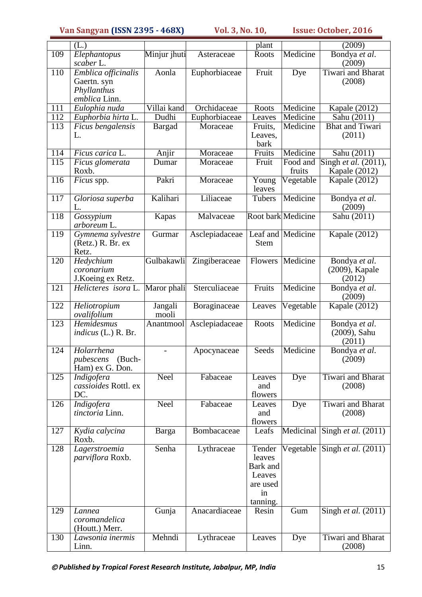|                  | (L.)                                                               |                  |                | plant                                                                |                    | (2009)                                    |
|------------------|--------------------------------------------------------------------|------------------|----------------|----------------------------------------------------------------------|--------------------|-------------------------------------------|
| 109              | Elephantopus<br>scaber L.                                          | Minjur jhuti     | Asteraceae     | Roots                                                                | Medicine           | Bondya et al.<br>(2009)                   |
| 110              | Emblica officinalis<br>Gaertn. syn<br>Phyllanthus<br>emblica Linn. | Aonla            | Euphorbiaceae  | Fruit                                                                | Dye                | Tiwari and Bharat<br>(2008)               |
| 111              | Eulophia nuda                                                      | Villai kand      | Orchidaceae    | Roots                                                                | Medicine           | Kapale (2012)                             |
| 112              | Euphorbia hirta L.                                                 | Dudhi            | Euphorbiaceae  | Leaves                                                               | Medicine           | Sahu (2011)                               |
| 113              | Ficus bengalensis<br>L.                                            | Bargad           | Moraceae       | Fruits,<br>Leaves,<br>bark                                           | Medicine           | <b>Bhat and Tiwari</b><br>(2011)          |
| $\overline{11}4$ | Ficus carica L.                                                    | Anjir            | Moraceae       | Fruits                                                               | Medicine           | Sahu (2011)                               |
| $\overline{115}$ | Ficus glomerata<br>Roxb.                                           | Dumar            | Moraceae       | Fruit                                                                | Food and<br>fruits | Singh et al. (2011),<br>Kapale (2012)     |
| 116              | Ficus spp.                                                         | Pakri            | Moraceae       | $\overline{Y}$ oung<br>leaves                                        | Vegetable          | Kapale (2012)                             |
| $\overline{117}$ | Gloriosa superba<br>L.                                             | Kalihari         | Liliaceae      | Tubers                                                               | Medicine           | Bondya et al.<br>(2009)                   |
| 118              | Gossypium<br>arboreum L.                                           | Kapas            | Malvaceae      |                                                                      | Root bark Medicine | Sahu (2011)                               |
| 119              | Gymnema sylvestre<br>(Retz.) R. Br. ex<br>Retz.                    | Gurmar           | Asclepiadaceae | <b>Stem</b>                                                          | Leaf and Medicine  | <b>Kapale</b> (2012)                      |
| 120              | Hedychium<br>coronarium<br>J.Koeing ex Retz.                       | Gulbakawli       | Zingiberaceae  | Flowers                                                              | Medicine           | Bondya et al.<br>(2009), Kapale<br>(2012) |
| $\overline{121}$ | Helicteres isora L.                                                | Maror phali      | Sterculiaceae  | Fruits                                                               | Medicine           | Bondya et al.<br>(2009)                   |
| 122              | Heliotropium<br>ovalifolium                                        | Jangali<br>mooli | Boraginaceae   | Leaves                                                               | Vegetable          | Kapale (2012)                             |
| 123              | Hemidesmus<br><i>indicus</i> (L.) R. Br.                           | Anantmool        | Asclepiadaceae | Roots                                                                | Medicine           | Bondya et al.<br>(2009), Sahu<br>(2011)   |
| 124              | Holarrhena<br>pubescens (Buch-<br>Ham) ex G. Don.                  | $\overline{a}$   | Apocynaceae    | Seeds                                                                | Medicine           | Bondya et al.<br>(2009)                   |
| 125              | Indigofera<br>cassioides Rottl. ex<br>DC.                          | Neel             | Fabaceae       | Leaves<br>and<br>flowers                                             | Dye                | <b>Tiwari</b> and Bharat<br>(2008)        |
| 126              | <i>Indigofera</i><br>tinctoria Linn.                               | Neel             | Fabaceae       | Leaves<br>and<br>flowers                                             | Dye                | <b>Tiwari and Bharat</b><br>(2008)        |
| 127              | Kydia calycina<br>Roxb.                                            | Barga            | Bombacaceae    | Leafs                                                                | Medicinal          | Singh et al. $(2011)$                     |
| 128              | Lagerstroemia<br><i>parviflora</i> Roxb.                           | Senha            | Lythraceae     | Tender<br>leaves<br>Bark and<br>Leaves<br>are used<br>in<br>tanning. | Vegetable          | Singh <i>et al.</i> $(2011)$              |
| 129              | Lannea<br>coromandelica<br>(Houtt.) Merr.                          | Gunja            | Anacardiaceae  | Resin                                                                | Gum                | Singh et al. (2011)                       |
| 130              | Lawsonia inermis<br>Linn.                                          | Mehndi           | Lythraceae     | Leaves                                                               | Dye                | <b>Tiwari</b> and Bharat<br>(2008)        |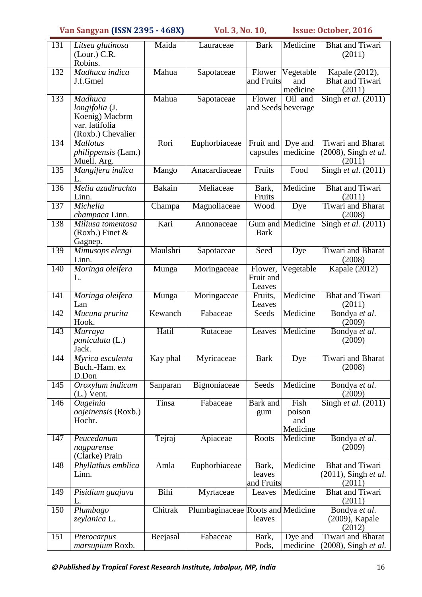| 131              | Litsea glutinosa                              | Maida         | Lauraceae                         | <b>Bark</b>           | Medicine            | <b>Bhat and Tiwari</b>                                  |
|------------------|-----------------------------------------------|---------------|-----------------------------------|-----------------------|---------------------|---------------------------------------------------------|
|                  | (Lour.) C.R.<br>Robins.                       |               |                                   |                       |                     | (2011)                                                  |
| 132              | Madhuca indica                                | Mahua         | Sapotaceae                        | Flower                | Vegetable           | Kapale (2012),                                          |
|                  | J.f.Gmel                                      |               |                                   | and Fruits            | and<br>medicine     | <b>Bhat</b> and Tiwari<br>(2011)                        |
| 133              | Madhuca                                       | Mahua         | Sapotaceae                        | Flower                | Oil and             | Singh et al. $(2011)$                                   |
|                  | longifolia (J.<br>Koenig) Macbrm              |               |                                   | and Seeds beverage    |                     |                                                         |
|                  | var. latifolia                                |               |                                   |                       |                     |                                                         |
|                  | (Roxb.) Chevalier                             |               |                                   |                       |                     |                                                         |
| 134              | <b>Mallotus</b><br><i>philippensis</i> (Lam.) | Rori          | Euphorbiaceae                     | Fruit and<br>capsules | Dye and<br>medicine | <b>Tiwari</b> and <b>Bharat</b><br>(2008), Singh et al. |
|                  | Muell. Arg.                                   |               |                                   |                       |                     | (2011)                                                  |
| 135              | Mangifera indica<br>L.                        | Mango         | Anacardiaceae                     | Fruits                | Food                | Singh et al. $(2011)$                                   |
| 136              | Melia azadirachta<br>Linn.                    | <b>Bakain</b> | Meliaceae                         | Bark,<br>Fruits       | Medicine            | <b>Bhat and Tiwari</b><br>(2011)                        |
| 137              | Michelia                                      | Champa        | Magnoliaceae                      | Wood                  | Dye                 | <b>Tiwari and Bharat</b>                                |
| 138              | champaca Linn.<br>Miliusa tomentosa           | Kari          | Annonaceae                        |                       | Gum and Medicine    | (2008)<br>$\overline{\text{Sing}}$ h et al. (2011)      |
|                  | $(Roxb.)$ Finet &                             |               |                                   | <b>Bark</b>           |                     |                                                         |
|                  | Gagnep.                                       |               |                                   |                       |                     |                                                         |
| 139              | Mimusops elengi<br>Linn.                      | Maulshri      | Sapotaceae                        | Seed                  | Dye                 | <b>Tiwari</b> and <b>Bharat</b><br>(2008)               |
| 140              | Moringa oleifera                              | Munga         | Moringaceae                       | Flower,               | Vegetable           | Kapale (2012)                                           |
|                  | L.                                            |               |                                   | Fruit and<br>Leaves   |                     |                                                         |
| 141              | Moringa oleifera                              | Munga         | Moringaceae                       | Fruits,               | Medicine            | <b>Bhat and Tiwari</b>                                  |
| 142              | Lan<br>Mucuna prurita                         | Kewanch       | Fabaceae                          | Leaves<br>Seeds       | Medicine            | (2011)<br>Bondya et al.                                 |
|                  | Hook.                                         |               |                                   |                       |                     | (2009)                                                  |
| 143              | Murraya<br>paniculata (L.)                    | Hatil         | Rutaceae                          | Leaves                | Medicine            | Bondya et al.<br>(2009)                                 |
|                  | Jack.                                         |               |                                   |                       |                     |                                                         |
| 144              | Myrica esculenta                              | Kay phal      | Myricaceae                        | <b>Bark</b>           | Dye                 | Tiwari and Bharat                                       |
|                  | Buch.-Ham. ex<br>D.Don                        |               |                                   |                       |                     | (2008)                                                  |
| 145              | Oroxylum indicum<br>$(L.)$ Vent.              | Sanparan      | Bignoniaceae                      | Seeds                 | Medicine            | Bondya et al.<br>(2009)                                 |
| 146              | Ougeinia                                      | Tinsa         | Fabaceae                          | Bark and              | Fish                | Singh et al. (2011)                                     |
|                  | oojeinensis (Roxb.)                           |               |                                   | gum                   | poison              |                                                         |
|                  | Hochr.                                        |               |                                   |                       | and<br>Medicine     |                                                         |
| $\overline{147}$ | Peucedanum                                    | Tejraj        | Apiaceae                          | Roots                 | Medicine            | Bondya et al.                                           |
|                  | nagpurense<br>(Clarke) Prain                  |               |                                   |                       |                     | (2009)                                                  |
| 148              | Phyllathus emblica                            | Amla          | Euphorbiaceae                     | Bark,                 | Medicine            | <b>Bhat and Tiwari</b>                                  |
|                  | Linn.                                         |               |                                   | leaves<br>and Fruits  |                     | $(2011)$ , Singh et al.<br>(2011)                       |
| 149              | Pisidium guajava<br>L.                        | Bihi          | Myrtaceae                         | Leaves                | Medicine            | <b>Bhat and Tiwari</b>                                  |
| 150              | Plumbago                                      | Chitrak       | Plumbaginaceae Roots and Medicine |                       |                     | (2011)<br>Bondya et al.                                 |
|                  | zeylanica L.                                  |               |                                   | leaves                |                     | (2009), Kapale<br>(2012)                                |
| 151              | Pterocarpus                                   | Beejasal      | Fabaceae                          | Bark,                 | Dye and             | Tiwari and Bharat                                       |
|                  | marsupium Roxb.                               |               |                                   | Pods,                 | medicine            | (2008), Singh et al.                                    |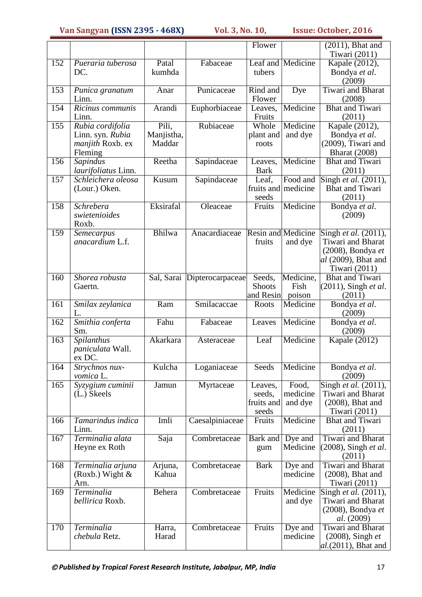|     |                                      |                            |                             | Flower              |                    | $(2011)$ , Bhat and                     |
|-----|--------------------------------------|----------------------------|-----------------------------|---------------------|--------------------|-----------------------------------------|
|     |                                      |                            |                             |                     |                    | Tiwari (2011)                           |
| 152 | Pueraria tuberosa                    | Patal                      | Fabaceae                    |                     | Leaf and Medicine  | Kapale (2012),                          |
|     | DC.                                  | kumhda                     |                             | tubers              |                    | Bondya et al.                           |
|     |                                      |                            |                             |                     |                    | (2009)                                  |
| 153 | Punica granatum                      | Anar                       | Punicaceae                  | Rind and            | Dye                | <b>Tiwari and Bharat</b>                |
|     | Linn.                                |                            |                             | Flower              |                    | (2008)                                  |
| 154 | Ricinus communis                     | Arandi                     | Euphorbiaceae               | Leaves,             | Medicine           | <b>Bhat and Tiwari</b>                  |
| 155 | Linn.                                | Pili,                      | Rubiaceae                   | Fruits<br>Whole     | Medicine           | (2011)                                  |
|     | Rubia cordifolia<br>Linn. syn. Rubia | Manjistha,                 |                             | plant and           | and dye            | Kapale $(2012)$ ,<br>Bondya et al.      |
|     | <i>manjith</i> Roxb. ex              | Maddar                     |                             | roots               |                    | (2009), Tiwari and                      |
|     | Fleming                              |                            |                             |                     |                    | <b>Bharat</b> (2008)                    |
| 156 | Sapindus                             | Reetha                     | Sapindaceae                 | Leaves,             | Medicine           | <b>Bhat and Tiwari</b>                  |
|     | laurifoliatus Linn.                  |                            |                             | <b>Bark</b>         |                    | (2011)                                  |
| 157 | Schleichera oleosa                   | $\overline{\text{K}}$ usum | Sapindaceae                 | Leaf,               | Food and           | Singh et al. $(2011)$ ,                 |
|     | (Lour.) Oken.                        |                            |                             | fruits and medicine |                    | <b>Bhat and Tiwari</b>                  |
|     |                                      |                            |                             | seeds               |                    | (2011)                                  |
| 158 | Schrebera                            | Eksirafal                  | Oleaceae                    | Fruits              | Medicine           | Bondya et al.                           |
|     | swietenioides<br>Roxb.               |                            |                             |                     |                    | (2009)                                  |
| 159 | Semecarpus                           | Bhilwa                     | Anacardiaceae               | Resin and Medicine  |                    | Singh et al. (2011),                    |
|     | anacardium L.f.                      |                            |                             | fruits              | and dye            | <b>Tiwari</b> and Bharat                |
|     |                                      |                            |                             |                     |                    | (2008), Bondya et                       |
|     |                                      |                            |                             |                     |                    | al (2009), Bhat and                     |
|     |                                      |                            |                             |                     |                    | Tiwari (2011)                           |
| 160 | Shorea robusta                       |                            | Sal, Sarai Dipterocarpaceae | Seeds,              | Medicine,          | <b>Bhat and Tiwari</b>                  |
|     | Gaertn.                              |                            |                             | <b>Shoots</b>       | Fish               | (2011), Singh et al.                    |
| 161 |                                      | $\overline{\text{Ram}}$    | Smilacaccae                 | and Resin<br>Roots  | poison<br>Medicine | (2011)<br>Bondya et al.                 |
|     | Smilax zeylanica<br>L.               |                            |                             |                     |                    | (2009)                                  |
| 162 | Smithia conferta<br>Sm.              | Fahu                       | Fabaceae                    | Leaves              | Medicine           | Bondya et al.<br>(2009)                 |
| 163 | Spilanthus                           | Akarkara                   | Asteraceae                  | Leaf                | Medicine           | Kapale (2012)                           |
|     | paniculata Wall.                     |                            |                             |                     |                    |                                         |
|     | ex DC.                               |                            |                             |                     |                    |                                         |
| 164 | Strychnos nux-<br>vomica L.          | Kulcha                     | Loganiaceae                 | Seeds               | Medicine           | Bondya et al.<br>(2009)                 |
| 165 | Syzygium cuminii                     | Jamun                      | Myrtaceae                   | Leaves,             | Food,              | Singh et al. $(2011)$ ,                 |
|     | (L.) Skeels                          |                            |                             | seeds,              | medicine           | Tiwari and Bharat                       |
|     |                                      |                            |                             | fruits and          | and dye            | (2008), Bhat and                        |
|     | Tamarindus indica                    | Imli                       |                             | seeds               | Medicine           | Tiwari (2011)<br><b>Bhat and Tiwari</b> |
| 166 | Linn.                                |                            | Caesalpiniaceae             | Fruits              |                    | (2011)                                  |
| 167 | Terminalia alata                     | $\overline{S}$ aja         | Combretaceae                | Bark and            | Dye and            | Tiwari and Bharat                       |
|     | Heyne ex Roth                        |                            |                             | gum                 | Medicine           | (2008), Singh et al.<br>(2011)          |
| 168 | Terminalia arjuna                    | Arjuna,                    | Combretaceae                | <b>Bark</b>         | Dye and            | <b>Tiwari and Bharat</b>                |
|     | (Roxb.) Wight $\&$                   | Kahua                      |                             |                     | medicine           | $(2008)$ , Bhat and                     |
|     | Arn.                                 |                            |                             |                     |                    | Tiwari (2011)                           |
| 169 | Terminalia                           | Behera                     | Combretaceae                | Fruits              | Medicine           | Singh et al. (2011),                    |
|     | bellirica Roxb.                      |                            |                             |                     | and dye            | Tiwari and Bharat                       |
|     |                                      |                            |                             |                     |                    | (2008), Bondya et                       |
| 170 | Terminalia                           | Harra,                     | Combretaceae                | Fruits              | Dye and            | <i>al.</i> (2009)<br>Tiwari and Bharat  |
|     | chebula Retz.                        | Harad                      |                             |                     | medicine           | $(2008)$ , Singh et                     |
|     |                                      |                            |                             |                     |                    | $al.$ (2011), Bhat and                  |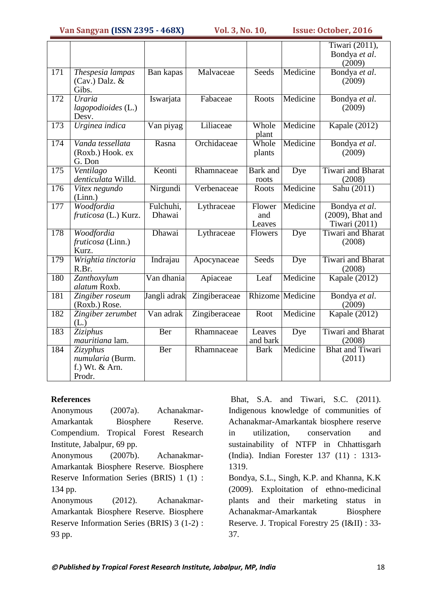|                  |                                                          |                     |               |                          |                         | Tiwari (2011),<br>Bondya et al.<br>(2009)          |
|------------------|----------------------------------------------------------|---------------------|---------------|--------------------------|-------------------------|----------------------------------------------------|
| $\overline{171}$ | Thespesia lampas<br>$(Cav.)$ Dalz. &<br>Gibs.            | Ban kapas           | Malvaceae     | Seeds                    | Medicine                | Bondya et al.<br>(2009)                            |
| 172              | Uraria<br>lagopodioides (L.)<br>Desv.                    | Iswarjata           | Fabaceae      | Roots                    | Medicine                | Bondya et al.<br>(2009)                            |
| 173              | Urginea indica                                           | Van piyag           | Liliaceae     | Whole<br>plant           | Medicine                | Kapale $(2012)$                                    |
| 174              | Vanda tessellata<br>(Roxb.) Hook. ex<br>G. Don           | Rasna               | Orchidaceae   | Whole<br>plants          | Medicine                | Bondya et al.<br>(2009)                            |
| 175              | Ventilago<br>denticulata Willd.                          | Keonti              | Rhamnaceae    | <b>Bark</b> and<br>roots | Dye                     | <b>Tiwari</b> and <b>Bharat</b><br>(2008)          |
| 176              | Vitex negundo<br>(Linn.)                                 | Nirgundi            | Verbenaceae   | Roots                    | Medicine                | Sahu (2011)                                        |
| $\overline{177}$ | Woodfordia<br>fruticosa (L.) Kurz.                       | Fulchuhi,<br>Dhawai | Lythraceae    | Flower<br>and<br>Leaves  | Medicine                | Bondya et al.<br>(2009), Bhat and<br>Tiwari (2011) |
| 178              | Woodfordia<br>fruticosa (Linn.)<br>Kurz.                 | Dhawai              | Lythraceae    | Flowers                  | Dye                     | <b>Tiwari</b> and Bharat<br>(2008)                 |
| 179              | Wrightia tinctoria<br>R.Br.                              | Indrajau            | Apocynaceae   | Seeds                    | Dye                     | <b>Tiwari</b> and <b>Bharat</b><br>(2008)          |
| 180              | Zanthoxylum<br>alatum Roxb.                              | Van dhania          | Apiaceae      | Leaf                     | Medicine                | Kapale $(2012)$                                    |
| 181              | Zingiber roseum<br>(Roxb.) Rose.                         | Jangli adrak        | Zingiberaceae |                          | <b>Rhizome</b> Medicine | Bondya et al.<br>(2009)                            |
| 182              | Zingiber zerumbet<br>(L.)                                | Van adrak           | Zingiberaceae | Root                     | Medicine                | <b>Kapale</b> (2012)                               |
| 183              | Ziziphus<br>mauritiana lam.                              | Ber                 | Rhamnaceae    | Leaves<br>and bark       | Dye                     | <b>Tiwari</b> and <b>Bharat</b><br>(2008)          |
| 184              | Zizyphus<br>numularia (Burm.<br>f.) Wt. & Arn.<br>Prodr. | Ber                 | Rhamnaceae    | <b>Bark</b>              | Medicine                | <b>Bhat and Tiwari</b><br>(2011)                   |

#### **References**

Anonymous (2007a). Achanakmar-Amarkantak Biosphere Reserve. Compendium. Tropical Forest Research Institute, Jabalpur, 69 pp. Anonymous (2007b). Achanakmar-Amarkantak Biosphere Reserve. Biosphere Reserve Information Series (BRIS) 1 (1) : 134 pp. Anonymous (2012). Achanakmar-

Amarkantak Biosphere Reserve. Biosphere Reserve Information Series (BRIS) 3 (1-2) : 93 pp.

Bhat, S.A. and Tiwari, S.C. (2011). Indigenous knowledge of communities of Achanakmar-Amarkantak biosphere reserve in utilization, conservation and sustainability of NTFP in Chhattisgarh (India). Indian Forester 137 (11) : 1313- 1319.

Bondya, S.L., Singh, K.P. and Khanna, K.K (2009). Exploitation of ethno-medicinal plants and their marketing status in Achanakmar-Amarkantak Biosphere Reserve. J. Tropical Forestry 25 (I&II) : 33- 37.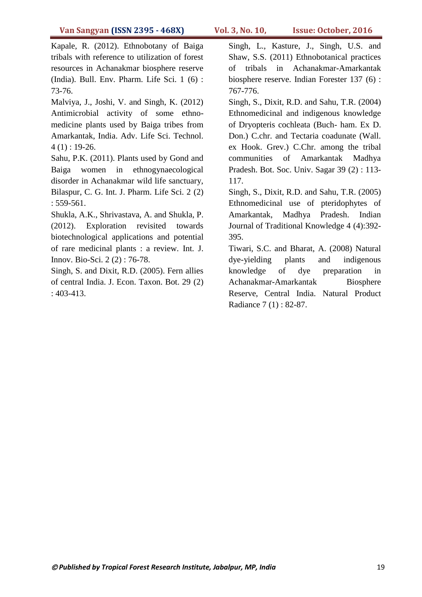Kapale, R. (2012). Ethnobotany of Baiga tribals with reference to utilization of forest resources in Achanakmar biosphere reserve (India). Bull. Env. Pharm. Life Sci. 1 (6) : 73-76.

Malviya, J., Joshi, V. and Singh, K. (2012) Antimicrobial activity of some ethnomedicine plants used by Baiga tribes from Amarkantak, India. Adv. Life Sci. Technol.  $4(1)$ : 19-26.

Sahu, P.K. (2011). Plants used by Gond and Baiga women in ethnogynaecological disorder in Achanakmar wild life sanctuary, Bilaspur, C. G. Int. J. Pharm. Life Sci. 2 (2) : 559-561.

Shukla, A.K., Shrivastava, A. and Shukla, P. (2012). Exploration revisited towards biotechnological applications and potential of rare medicinal plants : a review. Int. J. Innov. Bio-Sci. 2 (2) : 76-78.

Singh, S. and Dixit, R.D. (2005). Fern allies of central India. J. Econ. Taxon. Bot. 29 (2) : 403-413.

Singh, L., Kasture, J., Singh, U.S. and Shaw, S.S. (2011) Ethnobotanical practices of tribals in Achanakmar-Amarkantak biosphere reserve. Indian Forester 137 (6) : 767-776.

Singh, S., Dixit, R.D. and Sahu, T.R. (2004) Ethnomedicinal and indigenous knowledge of Dryopteris cochleata (Buch- ham. Ex D. Don.) C.chr. and Tectaria coadunate (Wall. ex Hook. Grev.) C.Chr. among the tribal communities of Amarkantak Madhya Pradesh. Bot. Soc. Univ. Sagar 39 (2) : 113- 117.

Singh, S., Dixit, R.D. and Sahu, T.R. (2005) Ethnomedicinal use of pteridophytes of Amarkantak, Madhya Pradesh. Indian Journal of Traditional Knowledge 4 (4):392- 395.

Tiwari, S.C. and Bharat, A. (2008) Natural dye-yielding plants and indigenous knowledge of dye preparation in Achanakmar-Amarkantak Biosphere Reserve, Central India. Natural Product Radiance 7 (1) : 82-87.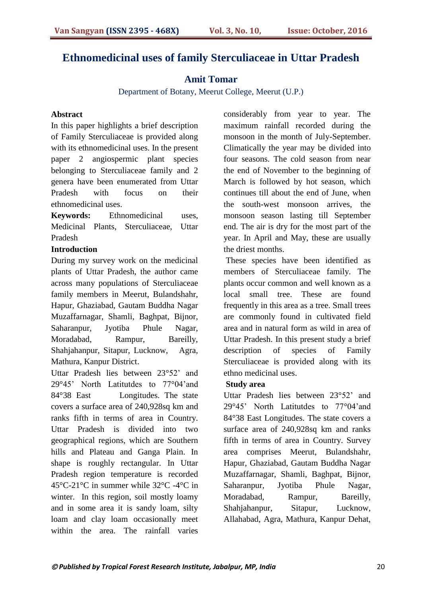# **Ethnomedicinal uses of family Sterculiaceae in Uttar Pradesh**

### **Amit Tomar**

Department of Botany, Meerut College, Meerut (U.P.)

#### **Abstract**

In this paper highlights a brief description of Family Sterculiaceae is provided along with its ethnomedicinal uses. In the present paper 2 angiospermic plant species belonging to Sterculiaceae family and 2 genera have been enumerated from Uttar Pradesh with focus on their ethnomedicinal uses.

**Keywords:** Ethnomedicinal uses, Medicinal Plants, Sterculiaceae, Uttar Pradesh

#### **Introduction**

During my survey work on the medicinal plants of Uttar Pradesh, the author came across many populations of Sterculiaceae family members in Meerut, Bulandshahr, Hapur, Ghaziabad, Gautam Buddha Nagar Muzaffarnagar, Shamli, Baghpat, Bijnor, Saharanpur, Jyotiba Phule Nagar, Moradabad, Rampur, Bareilly, Shahjahanpur, Sitapur, Lucknow, Agra, Mathura, Kanpur District.

Uttar Pradesh lies between 23°52' and 29°45" North Latitutdes to 77°04"and 84°38 East Longitudes. The state covers a surface area of 240,928sq km and ranks fifth in terms of area in Country. Uttar Pradesh is divided into two geographical regions, which are Southern hills and Plateau and Ganga Plain. In shape is roughly rectangular. In Uttar Pradesh region temperature is recorded 45°C-21°C in summer while 32°C -4°C in winter. In this region, soil mostly loamy and in some area it is sandy loam, silty loam and clay loam occasionally meet within the area. The rainfall varies

considerably from year to year. The maximum rainfall recorded during the monsoon in the month of July-September. Climatically the year may be divided into four seasons. The cold season from near the end of November to the beginning of March is followed by hot season, which continues till about the end of June, when the south-west monsoon arrives, the monsoon season lasting till September end. The air is dry for the most part of the year. In April and May, these are usually the driest months.

These species have been identified as members of Sterculiaceae family*.* The plants occur common and well known as a local small tree. These are found frequently in this area as a tree. Small trees are commonly found in cultivated field area and in natural form as wild in area of Uttar Pradesh. In this present study a brief description of species of Family Sterculiaceae is provided along with its ethno medicinal uses.

#### **Study area**

Uttar Pradesh lies between 23°52" and 29°45" North Latitutdes to 77°04"and 84°38 East Longitudes. The state covers a surface area of 240,928sq km and ranks fifth in terms of area in Country. Survey area comprises Meerut, Bulandshahr, Hapur, Ghaziabad, Gautam Buddha Nagar Muzaffarnagar, Shamli, Baghpat, Bijnor, Saharanpur, Jyotiba Phule Nagar, Moradabad, Rampur, Bareilly, Shahjahanpur, Sitapur, Lucknow, Allahabad, Agra, Mathura, Kanpur Dehat,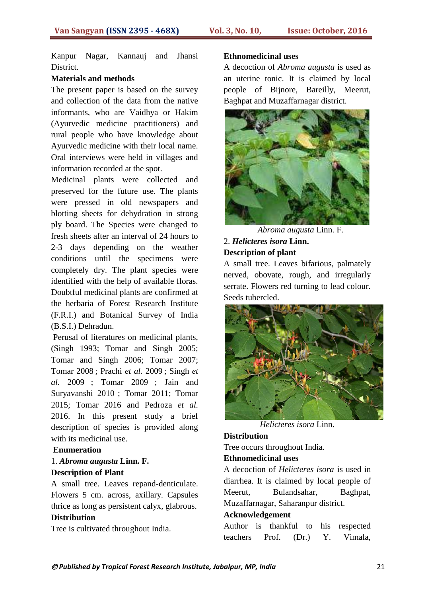Kanpur Nagar, Kannauj and Jhansi District.

#### **Materials and methods**

The present paper is based on the survey and collection of the data from the native informants, who are Vaidhya or Hakim (Ayurvedic medicine practitioners) and rural people who have knowledge about Ayurvedic medicine with their local name. Oral interviews were held in villages and information recorded at the spot.

Medicinal plants were collected and preserved for the future use. The plants were pressed in old newspapers and blotting sheets for dehydration in strong ply board. The Species were changed to fresh sheets after an interval of 24 hours to 2-3 days depending on the weather conditions until the specimens were completely dry. The plant species were identified with the help of available floras. Doubtful medicinal plants are confirmed at the herbaria of Forest Research Institute (F.R.I.) and Botanical Survey of India (B.S.I.) Dehradun.

Perusal of literatures on medicinal plants, (Singh 1993; Tomar and Singh 2005; Tomar and Singh 2006; Tomar 2007; Tomar 2008 ; Prachi *et al.* 2009 ; Singh *et al.* 2009 ; Tomar 2009 ; Jain and Suryavanshi 2010 ; Tomar 2011; Tomar 2015; Tomar 2016 and Pedroza *et al.* 2016. In this present study a brief description of species is provided along with its medicinal use.

#### **Enumeration**

#### 1. *Abroma augusta* **Linn. F. Description of Plant**

A small tree. Leaves repand-denticulate. Flowers 5 cm. across, axillary. Capsules thrice as long as persistent calyx, glabrous.

#### **Distribution**

Tree is cultivated throughout India.

#### **Ethnomedicinal uses**

A decoction of *Abroma augusta* is used as an uterine tonic. It is claimed by local people of Bijnore, Bareilly, Meerut, Baghpat and Muzaffarnagar district.



*Abroma augusta* Linn. F.

#### 2. *Helicteres isora* **Linn. Description of plant**

A small tree. Leaves bifarious, palmately nerved, obovate, rough, and irregularly serrate. Flowers red turning to lead colour. Seeds tubercled.



*Helicteres isora* Linn.

#### **Distribution**

Tree occurs throughout India.

#### **Ethnomedicinal uses**

A decoction of *Helicteres isora* is used in diarrhea. It is claimed by local people of Meerut, Bulandsahar, Baghpat, Muzaffarnagar, Saharanpur district.

#### **Acknowledgement**

Author is thankful to his respected teachers Prof. (Dr.) Y. Vimala,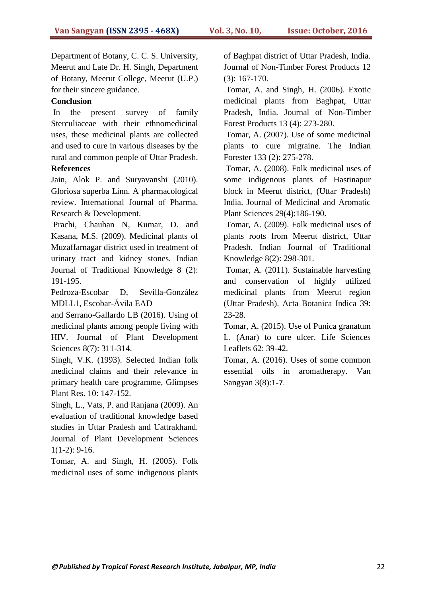Department of Botany, C. C. S. University, Meerut and Late Dr. H. Singh, Department of Botany, Meerut College, Meerut (U.P.) for their sincere guidance.

#### **Conclusion**

In the present survey of family Sterculiaceae with their ethnomedicinal uses, these medicinal plants are collected and used to cure in various diseases by the rural and common people of Uttar Pradesh.

#### **References**

Jain, Alok P. and Suryavanshi (2010). Gloriosa superba Linn. A pharmacological review. International Journal of Pharma. Research & Development.

Prachi, Chauhan N, Kumar, D. and Kasana, M.S. (2009). Medicinal plants of Muzaffarnagar district used in treatment of urinary tract and kidney stones. Indian Journal of Traditional Knowledge 8 (2): 191-195.

Pedroza-Escobar D, Sevilla-González MDLL1, Escobar-Ávila EAD

and Serrano-Gallardo LB (2016). Using of medicinal plants among people living with HIV. Journal of Plant Development Sciences 8(7): 311-314.

Singh, V.K. (1993). Selected Indian folk medicinal claims and their relevance in primary health care programme, Glimpses Plant Res. 10: 147-152.

Singh, L., Vats, P. and Ranjana (2009). An evaluation of traditional knowledge based studies in Uttar Pradesh and Uattrakhand. Journal of Plant Development Sciences  $1(1-2)$ : 9-16.

Tomar, A. and Singh, H. (2005). Folk medicinal uses of some indigenous plants

of Baghpat district of Uttar Pradesh, India. Journal of Non-Timber Forest Products 12 (3): 167-170.

Tomar, A. and Singh, H. (2006). Exotic medicinal plants from Baghpat, Uttar Pradesh, India. Journal of Non-Timber Forest Products 13 (4): 273-280.

Tomar, A. (2007). Use of some medicinal plants to cure migraine. The Indian Forester 133 (2): 275-278.

Tomar, A. (2008). Folk medicinal uses of some indigenous plants of Hastinapur block in Meerut district, (Uttar Pradesh) India. Journal of Medicinal and Aromatic Plant Sciences 29(4):186-190.

Tomar, A. (2009). Folk medicinal uses of plants roots from Meerut district, Uttar Pradesh. Indian Journal of Traditional Knowledge 8(2): 298-301.

Tomar, A. (2011). Sustainable harvesting and conservation of highly utilized medicinal plants from Meerut region (Uttar Pradesh). Acta Botanica Indica 39: 23-28.

Tomar, A. (2015). Use of Punica granatum L. (Anar) to cure ulcer. Life Sciences Leaflets 62: 39-42.

Tomar, A. (2016). Uses of some common essential oils in aromatherapy. Van Sangyan 3(8):1-7.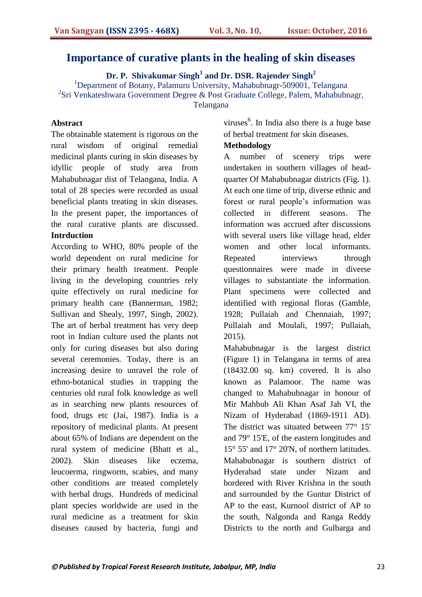# **Importance of curative plants in the healing of skin diseases**

**Dr. P. Shivakumar Singh<sup>1</sup> and Dr. DSR. Rajender Singh<sup>2</sup>**

<sup>1</sup>Department of Botany, Palamuru University, Mahabubnagr-509001, Telangana <sup>2</sup>Sri Venkateshwara Government Degree & Post Graduate College, Palem, Mahabubnagr,

Telangana

#### **Abstract**

The obtainable statement is rigorous on the rural wisdom of original remedial medicinal plants curing in skin diseases by idyllic people of study area from Mahabubnagar dist of Telangana, India. A total of 28 species were recorded as usual beneficial plants treating in skin diseases. In the present paper, the importances of the rural curative plants are discussed. **Intrduction**

According to WHO, 80% people of the world dependent on rural medicine for their primary health treatment. People living in the developing countries rely quite effectively on rural medicine for primary health care (Bannerman, 1982; Sullivan and Shealy, 1997, Singh, 2002). The art of herbal treatment has very deep root in Indian culture used the plants not only for curing diseases but also during several ceremonies. Today, there is an increasing desire to unravel the role of ethno-botanical studies in trapping the centuries old rural folk knowledge as well as in searching new plants resources of food, drugs etc (Jai, 1987). India is a repository of medicinal plants. At present about 65% of Indians are dependent on the rural system of medicine (Bhatt et al., 2002). Skin diseases like eczema, leucoerma, ringworm, scabies, and many other conditions are treated completely with herbal drugs. Hundreds of medicinal plant species worldwide are used in the rural medicine as a treatment for skin diseases caused by bacteria, fungi and

viruses $<sup>6</sup>$ . In India also there is a huge base</sup> of herbal treatment for skin diseases.

#### **Methodology**

A number of scenery trips were undertaken in southern villages of headquarter Of Mahabubnagar districts (Fig. 1). At each one time of trip, diverse ethnic and forest or rural people"s information was collected in different seasons. The information was accrued after discussions with several users like village head, elder women and other local informants. Repeated interviews through questionnaires were made in diverse villages to substantiate the information. Plant specimens were collected and identified with regional floras (Gamble, 1928; Pullaiah and Chennaiah, 1997; Pullaiah and Moulali, 1997; Pullaiah, 2015).

Mahabubnagar is the largest district (Figure 1) in Telangana in terms of area (18432.00 sq. km) covered. It is also known as Palamoor. The name was changed to Mahabubnagar in honour of Mir Mahbub Ali Khan Asaf Jah VI, the Nizam of Hyderabad (1869-1911 AD). The district was situated between 77° 15' and 79° 15'E, of the eastern longitudes and 15° 55' and 17° 20'N, of northern latitudes. Mahabubnagar is southern district of Hyderabad state under Nizam and bordered with River Krishna in the south and surrounded by the Guntur District of AP to the east, Kurnool district of AP to the south, Nalgonda and Ranga Reddy Districts to the north and Gulbarga and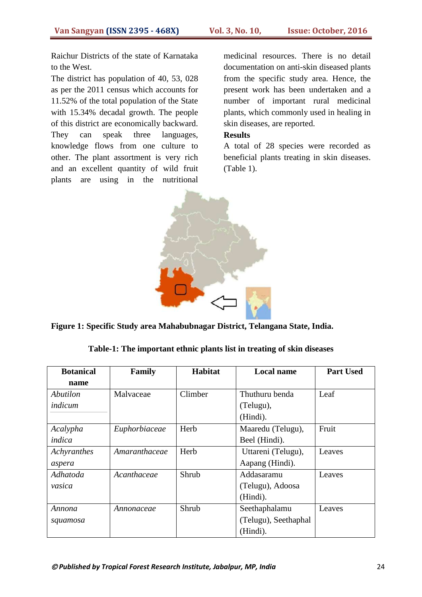Raichur Districts of the state of Karnataka to the West.

The district has population of 40, 53, 028 as per the 2011 census which accounts for 11.52% of the total population of the State with 15.34% decadal growth. The people of this district are economically backward. They can speak three languages, knowledge flows from one culture to other. The plant assortment is very rich and an excellent quantity of wild fruit plants are using in the nutritional medicinal resources. There is no detail documentation on anti-skin diseased plants from the specific study area. Hence, the present work has been undertaken and a number of important rural medicinal plants, which commonly used in healing in skin diseases, are reported.

#### **Results**

A total of 28 species were recorded as beneficial plants treating in skin diseases. (Table 1).



**Figure 1: Specific Study area Mahabubnagar District, Telangana State, India.**

| <b>Botanical</b> | Habitat<br><b>Local name</b><br>Family |         | <b>Part Used</b>     |        |
|------------------|----------------------------------------|---------|----------------------|--------|
| name             |                                        |         |                      |        |
| Abutilon         | Malvaceae                              | Climber | Thuthuru benda       | Leaf   |
| indicum          |                                        |         | (Telugu),            |        |
|                  |                                        |         | (Hindi).             |        |
| Acalypha         | Euphorbiaceae                          | Herb    | Maaredu (Telugu),    | Fruit  |
| indica           |                                        |         | Beel (Hindi).        |        |
| Achyranthes      | Amaranthaceae                          | Herb    | Uttareni (Telugu),   | Leaves |
| aspera           |                                        |         | Aapang (Hindi).      |        |
| Adhatoda         | Acanthaceae                            | Shrub   | Addasaramu           | Leaves |
| vasica           |                                        |         | (Telugu), Adoosa     |        |
|                  |                                        |         | (Hindi).             |        |
| Annona           | Annonaceae                             | Shrub   | Seethaphalamu        | Leaves |
| squamosa         |                                        |         | (Telugu), Seethaphal |        |
|                  |                                        |         | (Hindi).             |        |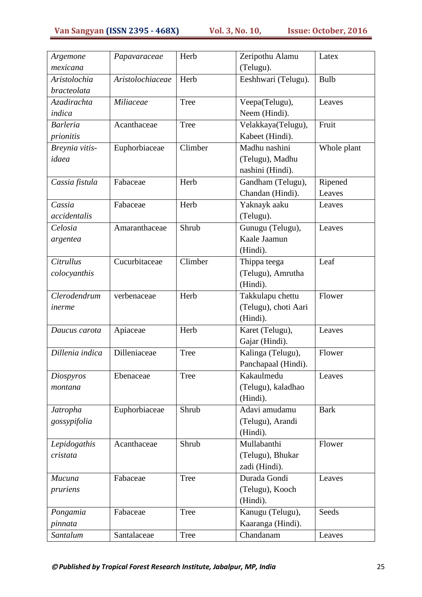| Argemone<br>mexicana | Papavaraceae     | Herb        | Zeripothu Alamu<br>(Telugu). | Latex       |
|----------------------|------------------|-------------|------------------------------|-------------|
| Aristolochia         | Aristolochiaceae | Herb        | Eeshhwari (Telugu).          | <b>Bulb</b> |
| bracteolata          |                  |             |                              |             |
| Azadirachta          | Miliaceae        | Tree        | Veepa(Telugu),               | Leaves      |
| indica               |                  |             | Neem (Hindi).                |             |
| <b>Barleria</b>      | Acanthaceae      | Tree        | Velakkaya(Telugu),           | Fruit       |
| prionitis            |                  |             | Kabeet (Hindi).              |             |
| Breynia vitis-       | Euphorbiaceae    | Climber     | Madhu nashini                | Whole plant |
| idaea                |                  |             | (Telugu), Madhu              |             |
|                      |                  |             | nashini (Hindi).             |             |
| Cassia fistula       | Fabaceae         | Herb        | Gandham (Telugu),            | Ripened     |
|                      |                  |             | Chandan (Hindi).             | Leaves      |
| Cassia               | Fabaceae         | Herb        | Yaknayk aaku                 | Leaves      |
| accidentalis         |                  |             | (Telugu).                    |             |
| Celosia              | Amaranthaceae    | Shrub       | Gunugu (Telugu),             | Leaves      |
| argentea             |                  |             | Kaale Jaamun                 |             |
|                      |                  |             | (Hindi).                     |             |
| <b>Citrullus</b>     | Cucurbitaceae    | Climber     | Thippa teega                 | Leaf        |
| colocyanthis         |                  |             | (Telugu), Amrutha            |             |
|                      |                  |             | (Hindi).                     |             |
| Clerodendrum         | verbenaceae      | Herb        | Takkulapu chettu             | Flower      |
| inerme               |                  |             | (Telugu), choti Aari         |             |
|                      |                  |             | (Hindi).                     |             |
| Daucus carota        | Apiaceae         | Herb        | Karet (Telugu),              | Leaves      |
|                      |                  |             | Gajar (Hindi).               |             |
| Dillenia indica      | Dilleniaceae     | <b>Tree</b> | Kalinga (Telugu),            | Flower      |
|                      |                  |             | Panchapaal (Hindi).          |             |
| Diospyros            | Ebenaceae        | <b>Tree</b> | Kakaulmedu                   | Leaves      |
| montana              |                  |             | (Telugu), kaladhao           |             |
|                      |                  |             | (Hindi).                     |             |
| Jatropha             | Euphorbiaceae    | Shrub       | Adavi amudamu                | <b>Bark</b> |
| gossypifolia         |                  |             | (Telugu), Arandi             |             |
|                      |                  |             | (Hindi).                     |             |
| Lepidogathis         | Acanthaceae      | Shrub       | Mullabanthi                  | Flower      |
| cristata             |                  |             | (Telugu), Bhukar             |             |
|                      |                  |             | zadi (Hindi).                |             |
| Mucuna               | Fabaceae         | <b>Tree</b> | Durada Gondi                 | Leaves      |
| pruriens             |                  |             | (Telugu), Kooch              |             |
|                      |                  |             | (Hindi).                     |             |
| Pongamia             | Fabaceae         | Tree        | Kanugu (Telugu),             | Seeds       |
| pinnata              |                  |             | Kaaranga (Hindi).            |             |
| Santalum             | Santalaceae      | Tree        | Chandanam                    | Leaves      |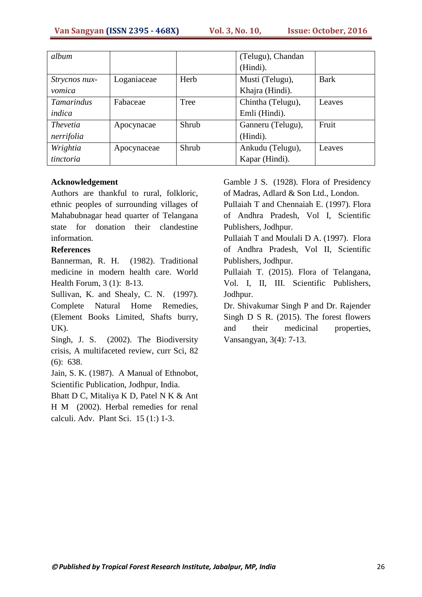| album             |             |       | (Telugu), Chandan |             |
|-------------------|-------------|-------|-------------------|-------------|
|                   |             |       | (Hindi).          |             |
| Strycnos nux-     | Loganiaceae | Herb  | Musti (Telugu),   | <b>Bark</b> |
| vomica            |             |       | Khajra (Hindi).   |             |
| <b>Tamarindus</b> | Fabaceae    | Tree  | Chintha (Telugu), | Leaves      |
| indica            |             |       | Emli (Hindi).     |             |
| <i>Thevetia</i>   | Apocynacae  | Shrub | Ganneru (Telugu), | Fruit       |
| nerrifolia        |             |       | (Hindi).          |             |
| Wrightia          | Apocynaceae | Shrub | Ankudu (Telugu),  | Leaves      |
| tinctoria         |             |       | Kapar (Hindi).    |             |

#### **Acknowledgement**

Authors are thankful to rural, folkloric, ethnic peoples of surrounding villages of Mahabubnagar head quarter of Telangana state for donation their clandestine information.

#### **References**

Bannerman, R. H. (1982). Traditional medicine in modern health care. World Health Forum, 3 (1): 8-13.

Sullivan, K. and Shealy, C. N. (1997). Complete Natural Home Remedies, (Element Books Limited, Shafts burry, UK).

Singh, J. S. (2002). The Biodiversity crisis, A multifaceted review, curr Sci, 82 (6): 638.

Jain, S. K. (1987). A Manual of Ethnobot, Scientific Publication, Jodhpur, India.

Bhatt D C, Mitaliya K D, Patel N K & Ant H M (2002). Herbal remedies for renal calculi. Adv. Plant Sci. 15 (1:) 1-3.

Gamble J S. (1928). Flora of Presidency of Madras, Adlard & Son Ltd., London.

Pullaiah T and Chennaiah E. (1997). Flora of Andhra Pradesh, Vol I, Scientific Publishers, Jodhpur.

Pullaiah T and Moulali D A. (1997). Flora of Andhra Pradesh, Vol II, Scientific Publishers, Jodhpur.

Pullaiah T. (2015). Flora of Telangana, Vol. I, II, III. Scientific Publishers, Jodhpur.

Dr. Shivakumar Singh P and Dr. Rajender Singh D S R. (2015). The forest flowers and their medicinal properties, Vansangyan, 3(4): 7-13.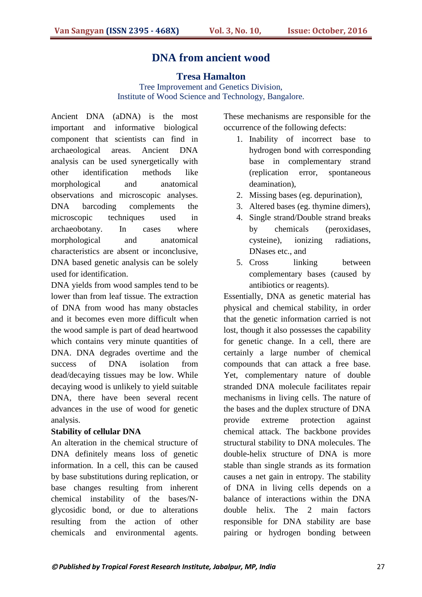# **DNA from ancient wood**

#### **Tresa Hamalton**

Tree Improvement and Genetics Division, Institute of Wood Science and Technology, Bangalore.

Ancient DNA (aDNA) is the most important and informative biological component that scientists can find in archaeological areas. Ancient DNA analysis can be used synergetically with other identification methods like morphological and anatomical observations and microscopic analyses. DNA barcoding complements the microscopic techniques used in archaeobotany. In cases where morphological and anatomical characteristics are absent or inconclusive, DNA based genetic analysis can be solely used for identification.

DNA yields from wood samples tend to be lower than from leaf tissue. The extraction of DNA from wood has many obstacles and it becomes even more difficult when the wood sample is part of dead heartwood which contains very minute quantities of DNA. DNA degrades overtime and the success of DNA isolation from dead/decaying tissues may be low. While decaying wood is unlikely to yield suitable DNA, there have been several recent advances in the use of wood for genetic analysis.

#### **Stability of cellular DNA**

An alteration in the chemical structure of DNA definitely means loss of genetic information. In a cell, this can be caused by base substitutions during replication, or base changes resulting from inherent chemical instability of the bases/Nglycosidic bond, or due to alterations resulting from the action of other chemicals and environmental agents.

These mechanisms are responsible for the occurrence of the following defects:

- 1. Inability of incorrect base to hydrogen bond with corresponding base in complementary strand (replication error, spontaneous deamination),
- 2. Missing bases (eg. depurination),
- 3. Altered bases (eg. thymine dimers),
- 4. Single strand/Double strand breaks by chemicals (peroxidases, cysteine), ionizing radiations, DNases etc., and
- 5. Cross linking between complementary bases (caused by antibiotics or reagents).

Essentially, DNA as genetic material has physical and chemical stability, in order that the genetic information carried is not lost, though it also possesses the capability for genetic change. In a cell, there are certainly a large number of chemical compounds that can attack a free base. Yet, complementary nature of double stranded DNA molecule facilitates repair mechanisms in living cells. The nature of the bases and the duplex structure of DNA provide extreme protection against chemical attack. The backbone provides structural stability to DNA molecules. The double-helix structure of DNA is more stable than single strands as its formation causes a net gain in entropy. The stability of DNA in living cells depends on a balance of interactions within the DNA double helix. The 2 main factors responsible for DNA stability are base pairing or hydrogen bonding between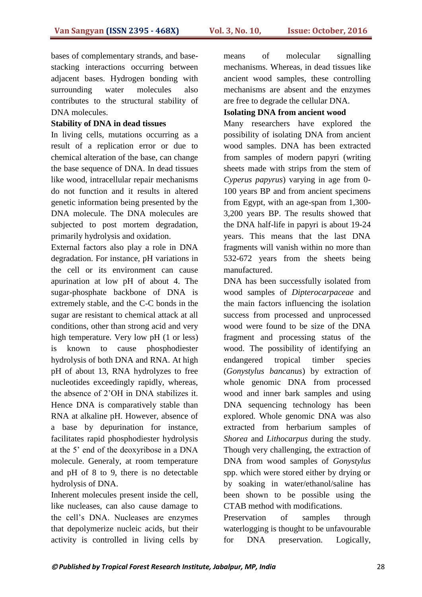bases of complementary strands, and basestacking interactions occurring between adjacent bases. Hydrogen bonding with surrounding water molecules also contributes to the structural stability of DNA molecules.

#### **Stability of DNA in dead tissues**

In living cells, mutations occurring as a result of a replication error or due to chemical alteration of the base, can change the base sequence of DNA. In dead tissues like wood, intracellular repair mechanisms do not function and it results in altered genetic information being presented by the DNA molecule. The DNA molecules are subjected to post mortem degradation, primarily hydrolysis and oxidation.

External factors also play a role in DNA degradation. For instance, pH variations in the cell or its environment can cause apurination at low pH of about 4. The sugar-phosphate backbone of DNA is extremely stable, and the C-C bonds in the sugar are resistant to chemical attack at all conditions, other than strong acid and very high temperature. Very low pH (1 or less) is known to cause phosphodiester hydrolysis of both DNA and RNA. At high pH of about 13, RNA hydrolyzes to free nucleotides exceedingly rapidly, whereas, the absence of 2"OH in DNA stabilizes it. Hence DNA is comparatively stable than RNA at alkaline pH. However, absence of a base by depurination for instance, facilitates rapid phosphodiester hydrolysis at the 5" end of the deoxyribose in a DNA molecule. Generaly, at room temperature and pH of 8 to 9, there is no detectable hydrolysis of DNA.

Inherent molecules present inside the cell, like nucleases, can also cause damage to the cell"s DNA. Nucleases are enzymes that depolymerize nucleic acids, but their activity is controlled in living cells by means of molecular signalling mechanisms. Whereas, in dead tissues like ancient wood samples, these controlling mechanisms are absent and the enzymes are free to degrade the cellular DNA.

#### **Isolating DNA from ancient wood**

Many researchers have explored the possibility of isolating DNA from ancient wood samples. DNA has been extracted from samples of modern papyri (writing sheets made with strips from the stem of *Cyperus papyrus*) varying in age from 0- 100 years BP and from ancient specimens from Egypt, with an age-span from 1,300- 3,200 years BP. The results showed that the DNA half-life in papyri is about 19-24 years. This means that the last DNA fragments will vanish within no more than 532-672 years from the sheets being manufactured.

DNA has been successfully isolated from wood samples of *Dipterocarpaceae* and the main factors influencing the isolation success from processed and unprocessed wood were found to be size of the DNA fragment and processing status of the wood. The possibility of identifying an endangered tropical timber species (*Gonystylus bancanus*) by extraction of whole genomic DNA from processed wood and inner bark samples and using DNA sequencing technology has been explored. Whole genomic DNA was also extracted from herbarium samples of *Shorea* and *Lithocarpus* during the study. Though very challenging, the extraction of DNA from wood samples of *Gonystylus* spp. which were stored either by drying or by soaking in water/ethanol/saline has been shown to be possible using the CTAB method with modifications.

Preservation of samples through waterlogging is thought to be unfavourable for DNA preservation. Logically,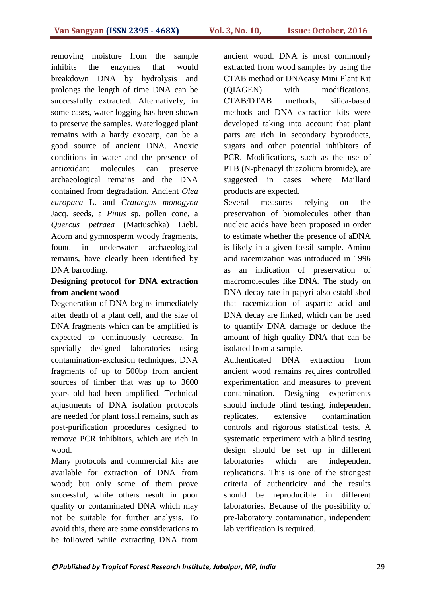removing moisture from the sample inhibits the enzymes that would breakdown DNA by hydrolysis and prolongs the length of time DNA can be successfully extracted. Alternatively, in some cases, water logging has been shown to preserve the samples. Waterlogged plant remains with a hardy exocarp, can be a good source of ancient DNA. Anoxic conditions in water and the presence of antioxidant molecules can preserve archaeological remains and the DNA contained from degradation. Ancient *Olea europaea* L. and *Crataegus monogyna*  Jacq. seeds, a *Pinus* sp. pollen cone, a *Quercus petraea* (Mattuschka) Liebl. Acorn and gymnosperm woody fragments, found in underwater archaeological remains, have clearly been identified by DNA barcoding.

#### **Designing protocol for DNA extraction from ancient wood**

Degeneration of DNA begins immediately after death of a plant cell, and the size of DNA fragments which can be amplified is expected to continuously decrease. In specially designed laboratories using contamination-exclusion techniques, DNA fragments of up to 500bp from ancient sources of timber that was up to 3600 years old had been amplified. Technical adjustments of DNA isolation protocols are needed for plant fossil remains, such as post-purification procedures designed to remove PCR inhibitors, which are rich in wood.

Many protocols and commercial kits are available for extraction of DNA from wood; but only some of them prove successful, while others result in poor quality or contaminated DNA which may not be suitable for further analysis. To avoid this, there are some considerations to be followed while extracting DNA from ancient wood. DNA is most commonly extracted from wood samples by using the CTAB method or DNAeasy Mini Plant Kit (QIAGEN) with modifications. CTAB/DTAB methods, silica-based methods and DNA extraction kits were developed taking into account that plant parts are rich in secondary byproducts, sugars and other potential inhibitors of PCR. Modifications, such as the use of PTB (N-phenacyl thiazolium bromide), are suggested in cases where Maillard products are expected.

Several measures relying on the preservation of biomolecules other than nucleic acids have been proposed in order to estimate whether the presence of aDNA is likely in a given fossil sample. Amino acid racemization was introduced in 1996 as an indication of preservation of macromolecules like DNA. The study on DNA decay rate in papyri also established that racemization of aspartic acid and DNA decay are linked, which can be used to quantify DNA damage or deduce the amount of high quality DNA that can be isolated from a sample.

Authenticated DNA extraction from ancient wood remains requires controlled experimentation and measures to prevent contamination. Designing experiments should include blind testing, independent replicates, extensive contamination controls and rigorous statistical tests. A systematic experiment with a blind testing design should be set up in different laboratories which are independent replications. This is one of the strongest criteria of authenticity and the results should be reproducible in different laboratories. Because of the possibility of pre-laboratory contamination, independent lab verification is required.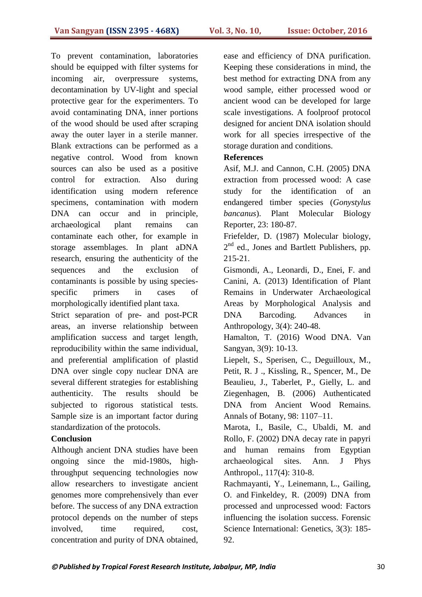To prevent contamination, laboratories should be equipped with filter systems for incoming air, overpressure systems, decontamination by UV-light and special protective gear for the experimenters. To avoid contaminating DNA, inner portions of the wood should be used after scraping away the outer layer in a sterile manner. Blank extractions can be performed as a negative control. Wood from known sources can also be used as a positive control for extraction. Also during identification using modern reference specimens, contamination with modern DNA can occur and in principle, archaeological plant remains can contaminate each other, for example in storage assemblages. In plant aDNA research, ensuring the authenticity of the sequences and the exclusion of contaminants is possible by using speciesspecific primers in cases of morphologically identified plant taxa.

Strict separation of pre- and post-PCR areas, an inverse relationship between amplification success and target length, reproducibility within the same individual, and preferential amplification of plastid DNA over single copy nuclear DNA are several different strategies for establishing authenticity. The results should be subjected to rigorous statistical tests. Sample size is an important factor during standardization of the protocols.

#### **Conclusion**

Although ancient DNA studies have been ongoing since the mid-1980s, highthroughput sequencing technologies now allow researchers to investigate ancient genomes more comprehensively than ever before. The success of any DNA extraction protocol depends on the number of steps involved, time required, cost, concentration and purity of DNA obtained,

ease and efficiency of DNA purification. Keeping these considerations in mind, the best method for extracting DNA from any wood sample, either processed wood or ancient wood can be developed for large scale investigations. A foolproof protocol designed for ancient DNA isolation should work for all species irrespective of the storage duration and conditions.

#### **References**

Asif, M.J. and Cannon, C.H. (2005) DNA extraction from processed wood: A case study for the identification of an endangered timber species (*Gonystylus bancanus*). Plant Molecular Biology Reporter, 23: 180-87.

Friefelder, D. (1987) Molecular biology, 2<sup>nd</sup> ed., Jones and Bartlett Publishers, pp. 215-21.

Gismondi, A., Leonardi, D., Enei, F. and Canini, A. (2013) Identification of Plant Remains in Underwater Archaeological Areas by Morphological Analysis and DNA Barcoding. Advances in Anthropology, 3(4): 240-48.

Hamalton, T. (2016) Wood DNA. Van Sangyan, 3(9): 10-13.

Liepelt, S., Sperisen, C., Deguilloux, M., Petit, R. J ., Kissling, R., Spencer, M., De Beaulieu, J., Taberlet, P., Gielly, L. and Ziegenhagen, B. (2006) Authenticated DNA from Ancient Wood Remains. Annals of Botany, 98: 1107–11.

Marota, I., Basile, C., Ubaldi, M. and Rollo, F. (2002) DNA decay rate in papyri and human remains from Egyptian archaeological sites. Ann. J Phys Anthropol., 117(4): 310-8.

Rachmayanti, Y., Leinemann, L., Gailing, O. and Finkeldey, R. (2009) DNA from processed and unprocessed wood: Factors influencing the isolation success. Forensic Science International: Genetics, 3(3): 185- 92.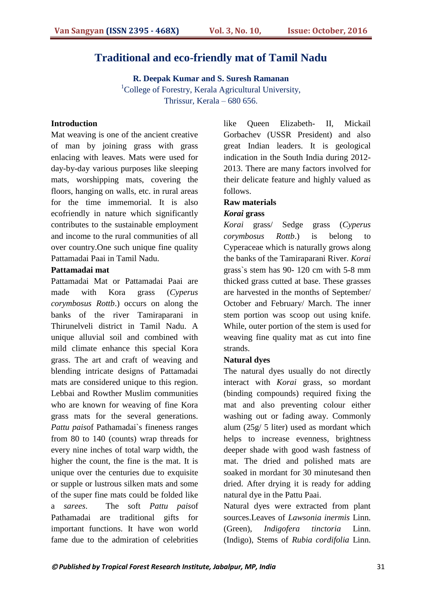#### **Traditional and eco-friendly mat of Tamil Nadu**

**R. Deepak Kumar and S. Suresh Ramanan** <sup>1</sup>College of Forestry, Kerala Agricultural University, Thrissur, Kerala – 680 656.

#### **Introduction**

Mat weaving is one of the ancient creative of man by joining grass with grass enlacing with leaves. Mats were used for day-by-day various purposes like sleeping mats, worshipping mats, covering the floors, hanging on walls, etc. in rural areas for the time immemorial. It is also ecofriendly in nature which significantly contributes to the sustainable employment and income to the rural communities of all over country.One such unique fine quality Pattamadai Paai in Tamil Nadu.

#### **Pattamadai mat**

Pattamadai Mat or Pattamadai Paai are made with Kora grass (*Cyperus corymbosus Rottb*.) occurs on along the banks of the river Tamiraparani in Thirunelveli district in Tamil Nadu. A unique alluvial soil and combined with mild climate enhance this special Kora grass. The art and craft of weaving and blending intricate designs of Pattamadai mats are considered unique to this region. Lebbai and Rowther Muslim communities who are known for weaving of fine Kora grass mats for the several generations. *Pattu pais*of Pathamadai`s fineness ranges from 80 to 140 (counts) wrap threads for every nine inches of total warp width, the higher the count, the fine is the mat. It is unique over the centuries due to exquisite or supple or lustrous silken mats and some of the super fine mats could be folded like a *sarees*. The soft *Pattu pais*of Pathamadai are traditional gifts for important functions. It have won world fame due to the admiration of celebrities

like Queen Elizabeth- II, Mickail Gorbachev (USSR President) and also great Indian leaders. It is geological indication in the South India during 2012- 2013. There are many factors involved for their delicate feature and highly valued as follows.

#### **Raw materials**

#### *Korai* **grass**

*Korai* grass/ Sedge grass (*Cyperus corymbosus Rottb*.) is belong to Cyperaceae which is naturally grows along the banks of the Tamiraparani River. *Korai* grass`s stem has 90- 120 cm with 5-8 mm thicked grass cutted at base. These grasses are harvested in the months of September/ October and February/ March. The inner stem portion was scoop out using knife. While, outer portion of the stem is used for weaving fine quality mat as cut into fine strands.

#### **Natural dyes**

The natural dyes usually do not directly interact with *Korai* grass, so mordant (binding compounds) required fixing the mat and also preventing colour either washing out or fading away. Commonly alum (25g/ 5 liter) used as mordant which helps to increase evenness, brightness deeper shade with good wash fastness of mat. The dried and polished mats are soaked in mordant for 30 minutesand then dried. After drying it is ready for adding natural dye in the Pattu Paai.

Natural dyes were extracted from plant sources.Leaves of *Lawsonia inermis* Linn. (Green), *Indigofera tinctoria* Linn. (Indigo), Stems of *Rubia cordifolia* Linn.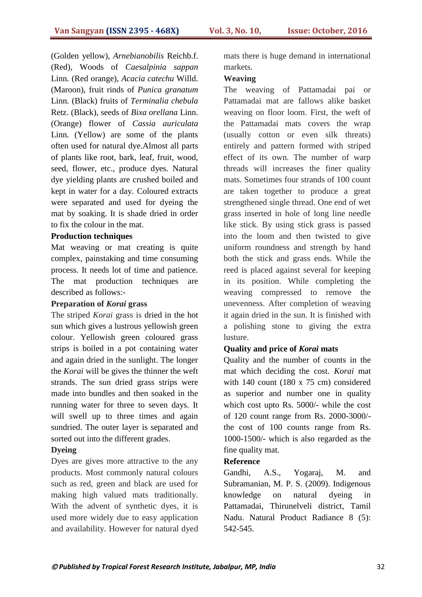(Golden yellow), *Arnebianobilis* Reichb.f. (Red), Woods of *Caesalpinia sappan* Linn. (Red orange), *Acacia catechu* Willd. (Maroon), fruit rinds of *Punica granatum* Linn. (Black) fruits of *Terminalia chebula* Retz. (Black), seeds of *Bixa orellana* Linn. (Orange) flower of *Cassia auriculata* Linn. (Yellow) are some of the plants often used for natural dye.Almost all parts of plants like root, bark, leaf, fruit, wood, seed, flower, etc., produce dyes. Natural dye yielding plants are crushed boiled and kept in water for a day. Coloured extracts were separated and used for dyeing the mat by soaking. It is shade dried in order to fix the colour in the mat.

#### **Production techniques**

Mat weaving or mat creating is quite complex, painstaking and time consuming process. It needs lot of time and patience. The mat production techniques are described as follows:-

#### **Preparation of** *Korai* **grass**

The striped *Korai* grass is dried in the hot sun which gives a lustrous yellowish green colour. Yellowish green coloured grass strips is boiled in a pot containing water and again dried in the sunlight. The longer the *Korai* will be gives the thinner the weft strands. The sun dried grass strips were made into bundles and then soaked in the running water for three to seven days. It will swell up to three times and again sundried. The outer layer is separated and sorted out into the different grades.

#### **Dyeing**

Dyes are gives more attractive to the any products. Most commonly natural colours such as red, green and black are used for making high valued mats traditionally. With the advent of synthetic dyes, it is used more widely due to easy application and availability. However for natural dyed

mats there is huge demand in international markets.

#### **Weaving**

The weaving of Pattamadai pai or Pattamadai mat are fallows alike basket weaving on floor loom. First, the weft of the Pattamadai mats covers the wrap (usually cotton or even silk threats) entirely and pattern formed with striped effect of its own. The number of warp threads will increases the finer quality mats. Sometimes four strands of 100 count are taken together to produce a great strengthened single thread. One end of wet grass inserted in hole of long line needle like stick. By using stick grass is passed into the loom and then twisted to give uniform roundness and strength by hand both the stick and grass ends. While the reed is placed against several for keeping in its position. While completing the weaving compressed to remove the unevenness. After completion of weaving it again dried in the sun. It is finished with a polishing stone to giving the extra lusture.

#### **Quality and price of** *Korai* **mats**

Quality and the number of counts in the mat which deciding the cost. *Korai* mat with 140 count (180 x 75 cm) considered as superior and number one in quality which cost upto Rs. 5000/- while the cost of 120 count range from Rs. 2000-3000/ the cost of 100 counts range from Rs. 1000-1500/- which is also regarded as the fine quality mat.

#### **Reference**

Gandhi, A.S., Yogaraj, M. and Subramanian, M. P. S. (2009). Indigenous knowledge on natural dyeing in Pattamadai, Thirunelveli district, Tamil Nadu. Natural Product Radiance 8 (5): 542-545.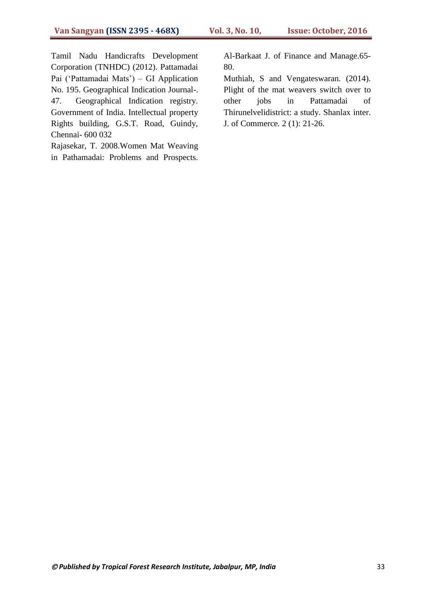Tamil Nadu Handicrafts Development Corporation (TNHDC) (2012). Pattamadai Pai ('Pattamadai Mats') – GI Application No. 195. Geographical Indication Journal-. 47. Geographical Indication registry. Government of India. Intellectual property Rights building, G.S.T. Road, Guindy, Chennai- 600 032

Rajasekar, T. 2008.Women Mat Weaving in Pathamadai: Problems and Prospects. Al-Barkaat J. of Finance and Manage.65- 80.

Muthiah, S and Vengateswaran. (2014). Plight of the mat weavers switch over to other jobs in Pattamadai of Thirunelvelidistrict: a study. Shanlax inter. J. of Commerce*.* 2 (1): 21-26.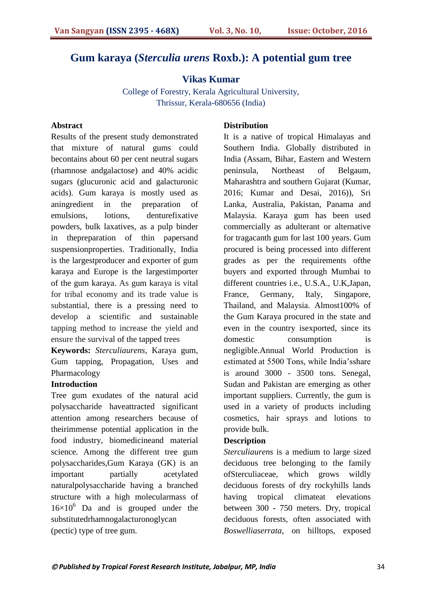# **Gum karaya (***Sterculia urens* **Roxb.): A potential gum tree**

#### **Vikas Kumar**

College of Forestry, Kerala Agricultural University, Thrissur, Kerala-680656 (India)

#### **Abstract**

Results of the present study demonstrated that mixture of natural gums could becontains about 60 per cent neutral sugars (rhamnose andgalactose) and 40% acidic sugars (glucuronic acid and galacturonic acids). Gum karaya is mostly used as aningredient in the preparation of emulsions, lotions, denturefixative powders, bulk laxatives, as a pulp binder in thepreparation of thin papersand suspensionproperties. Traditionally, India is the largestproducer and exporter of gum karaya and Europe is the largestimporter of the gum karaya. As gum karaya is vital for tribal economy and its trade value is substantial, there is a pressing need to develop a scientific and sustainable tapping method to increase the yield and ensure the survival of the tapped trees

**Keywords:** *Sterculiaurens*, Karaya gum, Gum tapping, Propagation, Uses and Pharmacology

#### **Introduction**

Tree gum exudates of the natural acid polysaccharide haveattracted significant attention among researchers because of theirimmense potential application in the food industry, biomedicineand material science. Among the different tree gum polysaccharides,Gum Karaya (GK) is an important partially acetylated naturalpolysaccharide having a branched structure with a high molecularmass of  $16\times10^{6}$  Da and is grouped under the substitutedrhamnogalacturonoglycan (pectic) type of tree gum.

#### **Distribution**

It is a native of tropical Himalayas and Southern India. Globally distributed in India (Assam, Bihar, Eastern and Western peninsula, Northeast of Belgaum, Maharashtra and southern Gujarat (Kumar, 2016; Kumar and Desai, 2016)), Sri Lanka, Australia, Pakistan, Panama and Malaysia. Karaya gum has been used commercially as adulterant or alternative for tragacanth gum for last 100 years. Gum procured is being processed into different grades as per the requirements ofthe buyers and exported through Mumbai to different countries i.e., U.S.A., U.K,Japan, France, Germany, Italy, Singapore, Thailand, and Malaysia. Almost100% of the Gum Karaya procured in the state and even in the country isexported, since its domestic consumption is negligible.Annual World Production is estimated at 5500 Tons, while India"sshare is around 3000 - 3500 tons. Senegal, Sudan and Pakistan are emerging as other important suppliers. Currently, the gum is used in a variety of products including cosmetics, hair sprays and lotions to provide bulk.

#### **Description**

*Sterculiaurens* is a medium to large sized deciduous tree belonging to the family ofSterculiaceae, which grows wildly deciduous forests of dry rockyhills lands having tropical climateat elevations between 300 - 750 meters. Dry, tropical deciduous forests, often associated with *Boswelliaserrata*, on hilltops, exposed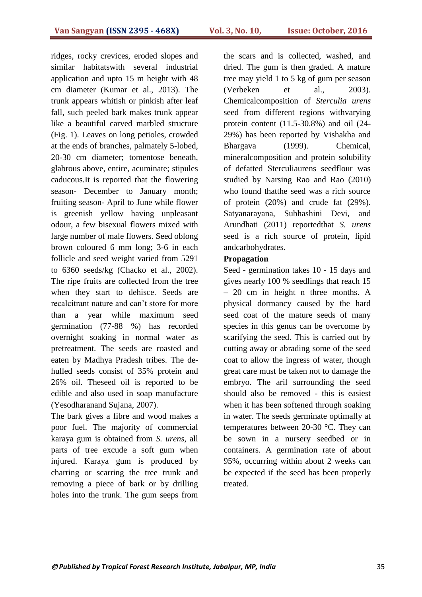ridges, rocky crevices, eroded slopes and similar habitatswith several industrial application and upto 15 m height with 48 cm diameter (Kumar et al., 2013). The trunk appears whitish or pinkish after leaf fall, such peeled bark makes trunk appear like a beautiful carved marbled structure (Fig. 1). Leaves on long petioles, crowded at the ends of branches, palmately 5-lobed, 20-30 cm diameter; tomentose beneath, glabrous above, entire, acuminate; stipules caducous.It is reported that the flowering season- December to January month; fruiting season- April to June while flower is greenish yellow having unpleasant odour, a few bisexual flowers mixed with large number of male flowers. Seed oblong brown coloured 6 mm long; 3-6 in each follicle and seed weight varied from 5291 to 6360 seeds/kg (Chacko et al., 2002). The ripe fruits are collected from the tree when they start to dehisce. Seeds are recalcitrant nature and can"t store for more than a year while maximum seed germination (77-88 %) has recorded overnight soaking in normal water as pretreatment. The seeds are roasted and eaten by Madhya Pradesh tribes. The dehulled seeds consist of 35% protein and 26% oil. Theseed oil is reported to be edible and also used in soap manufacture (Yesodharanand Sujana, 2007).

The bark gives a fibre and wood makes a poor fuel. The majority of commercial karaya gum is obtained from *S. urens*, all parts of tree excude a soft gum when injured. Karaya gum is produced by charring or scarring the tree trunk and removing a piece of bark or by drilling holes into the trunk. The gum seeps from the scars and is collected, washed, and dried. The gum is then graded. A mature tree may yield 1 to 5 kg of gum per season (Verbeken et al., 2003). Chemicalcomposition of *Sterculia urens* seed from different regions withvarying protein content (11.5-30.8%) and oil (24- 29%) has been reported by Vishakha and Bhargava (1999). Chemical, mineralcomposition and protein solubility of defatted Sterculiaurens seedflour was studied by Narsing Rao and Rao (2010) who found thatthe seed was a rich source of protein (20%) and crude fat (29%). Satyanarayana, Subhashini Devi, and Arundhati (2011) reportedthat *S. urens* seed is a rich source of protein, lipid andcarbohydrates.

#### **Propagation**

Seed - germination takes 10 - 15 days and gives nearly 100 % seedlings that reach 15 – 20 cm in height n three months. A physical dormancy caused by the hard seed coat of the mature seeds of many species in this genus can be overcome by scarifying the seed. This is carried out by cutting away or abrading some of the seed coat to allow the ingress of water, though great care must be taken not to damage the embryo. The aril surrounding the seed should also be removed - this is easiest when it has been softened through soaking in water. The seeds germinate optimally at temperatures between 20-30 °C. They can be sown in a nursery seedbed or in containers. A germination rate of about 95%, occurring within about 2 weeks can be expected if the seed has been properly treated.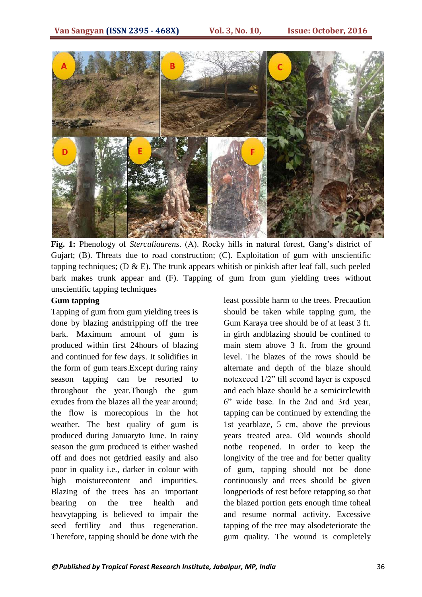

Fig. 1: Phenology of *Sterculiaurens*. (A). Rocky hills in natural forest, Gang's district of Gujart; (B). Threats due to road construction; (C). Exploitation of gum with unscientific tapping techniques; (D  $\&$  E). The trunk appears whitish or pinkish after leaf fall, such peeled bark makes trunk appear and (F). Tapping of gum from gum yielding trees without unscientific tapping techniques

#### **Gum tapping**

Tapping of gum from gum yielding trees is done by blazing andstripping off the tree bark. Maximum amount of gum is produced within first 24hours of blazing and continued for few days. It solidifies in the form of gum tears.Except during rainy season tapping can be resorted to throughout the year.Though the gum exudes from the blazes all the year around; the flow is morecopious in the hot weather. The best quality of gum is produced during Januaryto June. In rainy season the gum produced is either washed off and does not getdried easily and also poor in quality i.e., darker in colour with high moisturecontent and impurities. Blazing of the trees has an important bearing on the tree health and heavytapping is believed to impair the seed fertility and thus regeneration. Therefore, tapping should be done with the

least possible harm to the trees. Precaution should be taken while tapping gum, the Gum Karaya tree should be of at least 3 ft. in girth andblazing should be confined to main stem above 3 ft. from the ground level. The blazes of the rows should be alternate and depth of the blaze should notexceed 1/2" till second layer is exposed and each blaze should be a semicirclewith 6" wide base. In the 2nd and 3rd year, tapping can be continued by extending the 1st yearblaze, 5 cm, above the previous years treated area. Old wounds should notbe reopened. In order to keep the longivity of the tree and for better quality of gum, tapping should not be done continuously and trees should be given longperiods of rest before retapping so that the blazed portion gets enough time toheal and resume normal activity. Excessive tapping of the tree may alsodeteriorate the gum quality. The wound is completely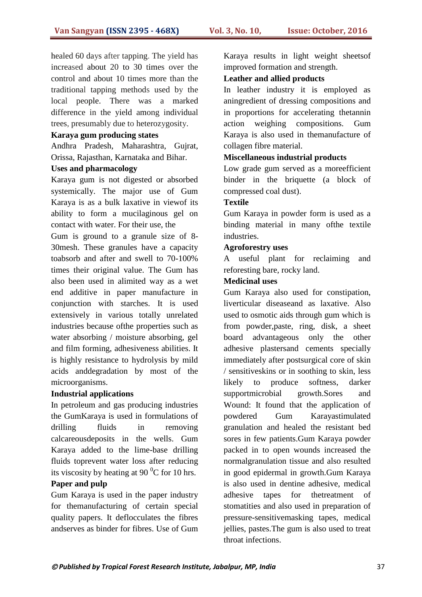healed 60 days after tapping. The yield has increased about 20 to 30 times over the control and about 10 times more than the traditional tapping methods used by the local people. There was a marked difference in the yield among individual trees, presumably due to heterozygosity.

#### **Karaya gum producing states**

Andhra Pradesh, Maharashtra, Gujrat, Orissa, Rajasthan, Karnataka and Bihar.

#### **Uses and pharmacology**

Karaya gum is not digested or absorbed systemically. The major use of Gum Karaya is as a bulk laxative in viewof its ability to form a mucilaginous gel on contact with water. For their use, the

Gum is ground to a granule size of 8- 30mesh. These granules have a capacity toabsorb and after and swell to 70-100% times their original value. The Gum has also been used in alimited way as a wet end additive in paper manufacture in conjunction with starches. It is used extensively in various totally unrelated industries because ofthe properties such as water absorbing / moisture absorbing, gel and film forming, adhesiveness abilities. It is highly resistance to hydrolysis by mild acids anddegradation by most of the microorganisms.

#### **Industrial applications**

In petroleum and gas producing industries the GumKaraya is used in formulations of drilling fluids in removing calcareousdeposits in the wells. Gum Karaya added to the lime-base drilling fluids toprevent water loss after reducing its viscosity by heating at 90 $\mathrm{^{0}C}$  for 10 hrs.

#### **Paper and pulp**

Gum Karaya is used in the paper industry for themanufacturing of certain special quality papers. It deflocculates the fibres andserves as binder for fibres. Use of Gum Karaya results in light weight sheetsof improved formation and strength.

#### **Leather and allied products**

In leather industry it is employed as aningredient of dressing compositions and in proportions for accelerating thetannin action weighing compositions. Gum Karaya is also used in themanufacture of collagen fibre material.

#### **Miscellaneous industrial products**

Low grade gum served as a moreefficient binder in the briquette (a block of compressed coal dust).

#### **Textile**

Gum Karaya in powder form is used as a binding material in many ofthe textile industries.

#### **Agroforestry uses**

A useful plant for reclaiming and reforesting bare, rocky land.

#### **Medicinal uses**

Gum Karaya also used for constipation, liverticular diseaseand as laxative. Also used to osmotic aids through gum which is from powder,paste, ring, disk, a sheet board advantageous only the other adhesive plastersand cements specially immediately after postsurgical core of skin / sensitiveskins or in soothing to skin, less likely to produce softness, darker supportmicrobial growth.Sores and Wound: It found that the application of powdered Gum Karayastimulated granulation and healed the resistant bed sores in few patients.Gum Karaya powder packed in to open wounds increased the normalgranulation tissue and also resulted in good epidermal in growth.Gum Karaya is also used in dentine adhesive, medical adhesive tapes for thetreatment of stomatities and also used in preparation of pressure-sensitivemasking tapes, medical jellies, pastes.The gum is also used to treat throat infections.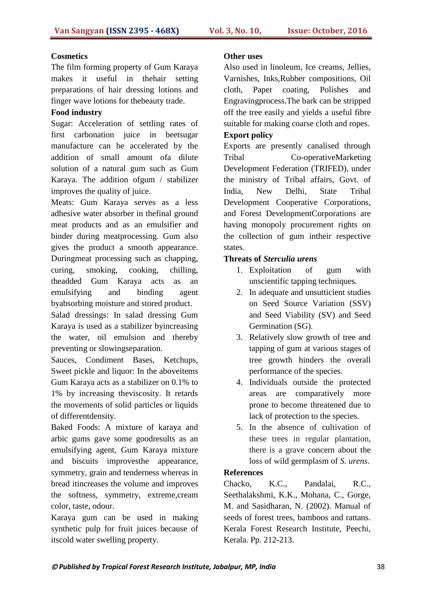#### **Cosmetics**

The film forming property of Gum Karaya makes it useful in thehair setting preparations of hair dressing lotions and finger wave lotions for thebeauty trade.

#### **Food industry**

Sugar: Acceleration of settling rates of first carbonation juice in beetsugar manufacture can be accelerated by the addition of small amount ofa dilute solution of a natural gum such as Gum Karaya. The addition ofgum / stabilizer improves the quality of juice.

Meats: Gum Karaya serves as a less adhesive water absorber in thefinal ground meat products and as an emulsifier and binder during meatprocessing. Gum also gives the product a smooth appearance. Duringmeat processing such as chapping, curing, smoking, cooking, chilling, theadded Gum Karaya acts as an emulsifying and binding agent byabsorbing moisture and stored product.

Salad dressings: In salad dressing Gum Karaya is used as a stabilizer byincreasing the water, oil emulsion and thereby preventing or slowingseparation.

Sauces, Condiment Bases, Ketchups, Sweet pickle and liquor: In the aboveitems Gum Karaya acts as a stabilizer on 0.1% to 1% by increasing theviscosity. It retards the movements of solid particles or liquids of differentdensity.

Baked Foods: A mixture of karaya and arbic gums gave some goodresults as an emulsifying agent, Gum Karaya mixture and biscuits improvesthe appearance, symmetry, grain and tenderness whereas in bread itincreases the volume and improves the softness, symmetry, extreme,cream color, taste, odour.

Karaya gum can be used in making synthetic pulp for fruit juices because of itscold water swelling property.

#### **Other uses**

Also used in linoleum, Ice creams, Jellies, Varnishes, Inks,Rubber compositions, Oil cloth, Paper coating, Polishes and Engravingprocess.The bark can be stripped off the tree easily and yields a useful fibre suitable for making coarse cloth and ropes. **Export policy**

Exports are presently canalised through Tribal Co-operativeMarketing Development Federation (TRIFED), under the ministry of Tribal affairs, Govt. of India, New Delhi, State Tribal Development Cooperative Corporations, and Forest DevelopmentCorporations are having monopoly procurement rights on the collection of gum intheir respective states.

#### **Threats of** *Sterculia urens*

- 1. Exploitation of gum with unscientific tapping techniques.
- 2. In adequate and unsutticient studies on Seed Source Variation (SSV) and Seed Viability (SV) and Seed Germination (SG).
- 3. Relatively slow growth of tree and tapping of gum at various stages of tree growth hinders the overall performance of the species.
- 4. Individuals outside the protected areas are comparatively more prone to become threatened due to lack of protection to the species.
- 5. In the absence of cultivation of these trees in regular plantation, there is a grave concern about the loss of wild germplasm of *S. urens*.

#### **References**

Chacko, K.C., Pandalai, R.C., Seethalakshmi, K.K., Mohana, C., Gorge, M. and Sasidharan, N. (2002). Manual of seeds of forest trees, bamboos and rattans. Kerala Forest Research Institute, Peechi, Kerala. Pp. 212-213.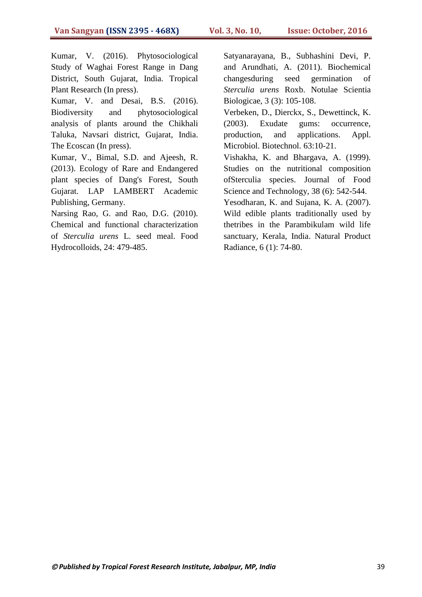Kumar, V. (2016). Phytosociological Study of Waghai Forest Range in Dang District, South Gujarat, India. Tropical Plant Research (In press).

Kumar, V. and Desai, B.S. (2016). Biodiversity and phytosociological analysis of plants around the Chikhali Taluka, Navsari district, Gujarat, India. The Ecoscan (In press).

Kumar, V., Bimal, S.D. and Ajeesh, R. (2013). Ecology of Rare and Endangered plant species of Dang's Forest, South Gujarat. LAP LAMBERT Academic Publishing, Germany.

Narsing Rao, G. and Rao, D.G. (2010). Chemical and functional characterization of *Sterculia urens* L. seed meal. Food Hydrocolloids, 24: 479-485.

Satyanarayana, B., Subhashini Devi, P. and Arundhati, A. (2011). Biochemical changesduring seed germination of *Sterculia urens* Roxb. Notulae Scientia Biologicae, 3 (3): 105-108.

Verbeken, D., Dierckx, S., Dewettinck, K. (2003). Exudate gums: occurrence, production, and applications. Appl. Microbiol. Biotechnol. 63:10-21.

Vishakha, K. and Bhargava, A. (1999). Studies on the nutritional composition ofSterculia species. Journal of Food Science and Technology, 38 (6): 542-544.

Yesodharan, K. and Sujana, K. A. (2007). Wild edible plants traditionally used by thetribes in the Parambikulam wild life sanctuary, Kerala, India. Natural Product Radiance, 6 (1): 74-80.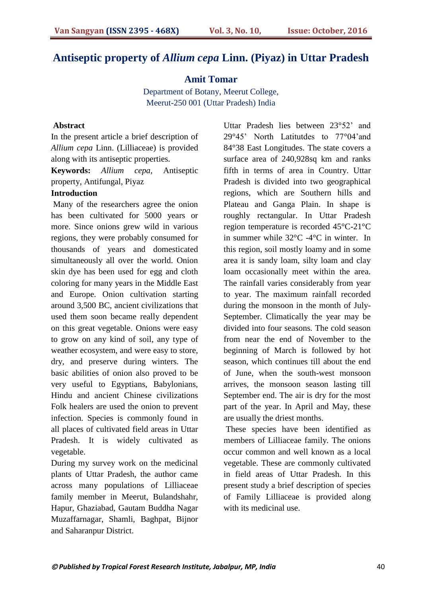# **Antiseptic property of** *Allium cepa* **Linn. (Piyaz) in Uttar Pradesh**

**Amit Tomar**

Department of Botany, Meerut College, Meerut-250 001 (Uttar Pradesh) India

#### **Abstract**

In the present article a brief description of *Allium cepa* Linn. (Lilliaceae) is provided along with its antiseptic properties.

**Keywords:** *Allium cepa,* Antiseptic property, Antifungal, Piyaz

#### **Introduction**

Many of the researchers agree the onion has been cultivated for 5000 years or more. Since onions grew wild in various regions, they were probably consumed for thousands of years and domesticated simultaneously all over the world. Onion skin dye has been used for egg and cloth coloring for many years in the Middle East and Europe. Onion cultivation starting around 3,500 BC, ancient civilizations that used them soon became really dependent on this great vegetable. Onions were easy to grow on any kind of soil, any type of weather ecosystem, and were easy to store, dry, and preserve during winters. The basic abilities of onion also proved to be very useful to Egyptians, Babylonians, Hindu and ancient Chinese civilizations Folk healers are used the onion to prevent infection. Species is commonly found in all places of cultivated field areas in Uttar Pradesh. It is widely cultivated as vegetable.

During my survey work on the medicinal plants of Uttar Pradesh, the author came across many populations of Lilliaceae family member in Meerut, Bulandshahr, Hapur, Ghaziabad, Gautam Buddha Nagar Muzaffarnagar, Shamli, Baghpat, Bijnor and Saharanpur District.

Uttar Pradesh lies between 23°52" and 29°45" North Latitutdes to 77°04"and 84°38 East Longitudes. The state covers a surface area of 240,928sq km and ranks fifth in terms of area in Country. Uttar Pradesh is divided into two geographical regions, which are Southern hills and Plateau and Ganga Plain. In shape is roughly rectangular. In Uttar Pradesh region temperature is recorded 45°C-21°C in summer while 32°C -4°C in winter. In this region, soil mostly loamy and in some area it is sandy loam, silty loam and clay loam occasionally meet within the area. The rainfall varies considerably from year to year. The maximum rainfall recorded during the monsoon in the month of July-September. Climatically the year may be divided into four seasons. The cold season from near the end of November to the beginning of March is followed by hot season, which continues till about the end of June, when the south-west monsoon arrives, the monsoon season lasting till September end. The air is dry for the most part of the year. In April and May, these are usually the driest months.

These species have been identified as members of Lilliaceae family*.* The onions occur common and well known as a local vegetable. These are commonly cultivated in field areas of Uttar Pradesh. In this present study a brief description of species of Family Lilliaceae is provided along with its medicinal use.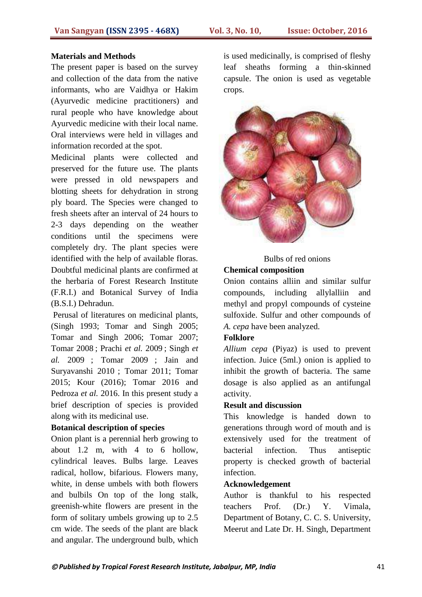#### **Materials and Methods**

The present paper is based on the survey and collection of the data from the native informants, who are Vaidhya or Hakim (Ayurvedic medicine practitioners) and rural people who have knowledge about Ayurvedic medicine with their local name. Oral interviews were held in villages and information recorded at the spot.

Medicinal plants were collected and preserved for the future use. The plants were pressed in old newspapers and blotting sheets for dehydration in strong ply board. The Species were changed to fresh sheets after an interval of 24 hours to 2-3 days depending on the weather conditions until the specimens were completely dry. The plant species were identified with the help of available floras. Doubtful medicinal plants are confirmed at the herbaria of Forest Research Institute (F.R.I.) and Botanical Survey of India (B.S.I.) Dehradun.

Perusal of literatures on medicinal plants, (Singh 1993; Tomar and Singh 2005; Tomar and Singh 2006; Tomar 2007; Tomar 2008 ; Prachi *et al.* 2009 ; Singh *et al.* 2009 ; Tomar 2009 ; Jain and Suryavanshi 2010 ; Tomar 2011; Tomar 2015; Kour (2016); Tomar 2016 and Pedroza *et al.* 2016. In this present study a brief description of species is provided along with its medicinal use.

#### **Botanical description of species**

Onion plant is a perennial herb growing to about 1.2 m, with 4 to 6 hollow, cylindrical leaves. Bulbs large. Leaves radical, hollow, bifarious. Flowers many, white, in dense umbels with both flowers and bulbils On top of the long stalk, greenish-white flowers are present in the form of solitary umbels growing up to 2.5 cm wide. The seeds of the plant are black and angular. The underground bulb, which is used medicinally, is comprised of fleshy leaf sheaths forming a thin-skinned capsule. The onion is used as vegetable crops.



Bulbs of red onions

#### **Chemical composition**

Onion contains alliin and similar sulfur compounds, including allylalliin and methyl and propyl compounds of cysteine sulfoxide. Sulfur and other compounds of *A. cepa* have been analyzed.

#### **Folklore**

*Allium cepa* (Piyaz) is used to prevent infection. Juice (5ml.) onion is applied to inhibit the growth of bacteria. The same dosage is also applied as an antifungal activity.

#### **Result and discussion**

This knowledge is handed down to generations through word of mouth and is extensively used for the treatment of bacterial infection. Thus antiseptic property is checked growth of bacterial infection.

#### **Acknowledgement**

Author is thankful to his respected teachers Prof. (Dr.) Y. Vimala, Department of Botany, C. C. S. University, Meerut and Late Dr. H. Singh, Department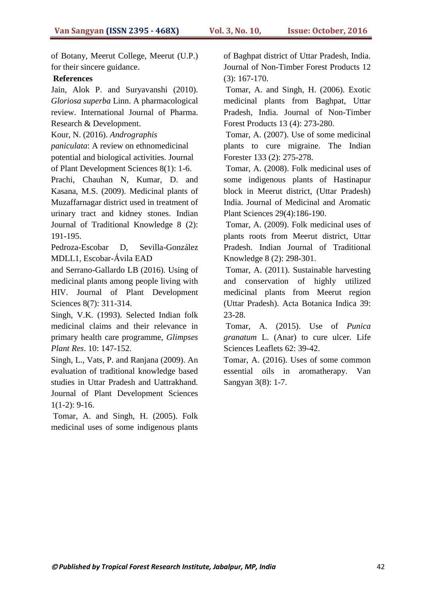of Botany, Meerut College, Meerut (U.P.) for their sincere guidance.

#### **References**

Jain, Alok P. and Suryavanshi (2010). *Gloriosa superba* Linn. A pharmacological review. International Journal of Pharma. Research & Development.

Kour, N. (2016). *Andrographis* 

*paniculata*: A review on ethnomedicinal potential and biological activities. Journal of Plant Development Sciences 8(1): 1-6.

Prachi, Chauhan N, Kumar, D. and Kasana, M.S. (2009). Medicinal plants of Muzaffarnagar district used in treatment of urinary tract and kidney stones. Indian Journal of Traditional Knowledge 8 (2): 191-195.

Pedroza-Escobar D, Sevilla-González MDLL1, Escobar-Ávila EAD

and Serrano-Gallardo LB (2016). Using of medicinal plants among people living with HIV. Journal of Plant Development Sciences 8(7): 311-314.

Singh, V.K. (1993). Selected Indian folk medicinal claims and their relevance in primary health care programme, *Glimpses Plant Res*. 10: 147-152.

Singh, L., Vats, P. and Ranjana (2009). An evaluation of traditional knowledge based studies in Uttar Pradesh and Uattrakhand. Journal of Plant Development Sciences  $1(1-2)$ : 9-16.

Tomar, A. and Singh, H. (2005). Folk medicinal uses of some indigenous plants of Baghpat district of Uttar Pradesh, India. Journal of Non-Timber Forest Products 12 (3): 167-170.

Tomar, A. and Singh, H. (2006). Exotic medicinal plants from Baghpat, Uttar Pradesh, India. Journal of Non-Timber Forest Products 13 (4): 273-280.

Tomar, A. (2007). Use of some medicinal plants to cure migraine. The Indian Forester 133 (2): 275-278.

Tomar, A. (2008). Folk medicinal uses of some indigenous plants of Hastinapur block in Meerut district, (Uttar Pradesh) India. Journal of Medicinal and Aromatic Plant Sciences 29(4):186-190.

Tomar, A. (2009). Folk medicinal uses of plants roots from Meerut district, Uttar Pradesh. Indian Journal of Traditional Knowledge 8 (2): 298-301.

Tomar, A. (2011). Sustainable harvesting and conservation of highly utilized medicinal plants from Meerut region (Uttar Pradesh). Acta Botanica Indica 39: 23-28.

Tomar, A. (2015). Use of *Punica granatum* L. (Anar) to cure ulcer*.* Life Sciences Leaflets 62: 39-42.

Tomar, A. (2016). Uses of some common essential oils in aromatherapy. Van Sangyan 3(8): 1-7.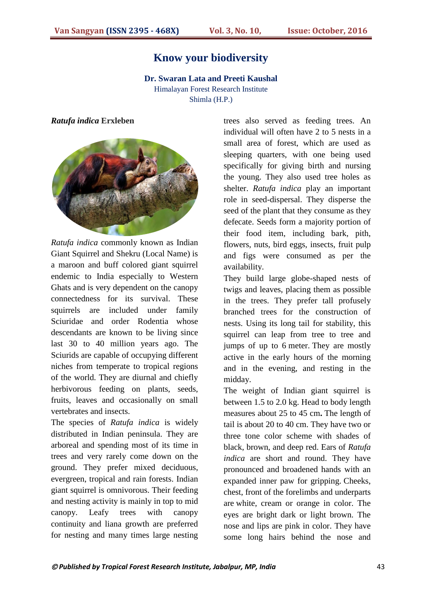# **Know your biodiversity**

**Dr. Swaran Lata and Preeti Kaushal**  Himalayan Forest Research Institute

Shimla (H.P.)

#### *Ratufa indica* **Erxleben**



*Ratufa indica* commonly known as Indian Giant Squirrel and Shekru (Local Name) is a maroon and buff colored giant squirrel endemic to India especially to Western Ghats and is very dependent on the canopy connectedness for its survival. These squirrels are included under family Sciuridae and order Rodentia whose descendants are known to be living since last 30 to 40 million years ago. The Sciurids are capable of occupying different niches from temperate to tropical regions of the world. They are diurnal and chiefly herbivorous feeding on plants, seeds, fruits, leaves and occasionally on small vertebrates and insects.

The species of *Ratufa indica* is widely distributed in Indian peninsula. They are arboreal and spending most of its time in trees and very rarely come down on the ground. They prefer mixed deciduous, evergreen, tropical and rain forests. Indian giant squirrel is omnivorous. Their feeding and nesting activity is mainly in top to mid canopy. Leafy trees with canopy continuity and liana growth are preferred for nesting and many times large nesting

trees also served as feeding trees. An individual will often have 2 to 5 nests in a small area of forest, which are used as sleeping quarters, with one being used specifically for giving birth and nursing the young. They also used tree holes as shelter. *Ratufa indica* play an important role in seed-dispersal. They disperse the seed of the plant that they consume as they defecate. Seeds form a majority portion of their food item, including bark, pith, flowers, nuts, bird eggs, insects, fruit pulp and figs were consumed as per the availability.

They build large globe-shaped nests of twigs and leaves, placing them as possible in the trees. They prefer tall profusely branched trees for the construction of nests. Using its long tail for stability, this squirrel can leap from tree to tree and jumps of up to 6 meter. They are mostly active in the early hours of the morning and in the evening, and resting in the midday.

The weight of Indian giant squirrel is between 1.5 to 2.0 kg. Head to body length measures about 25 to 45 cm**.** The length of tail is about 20 to 40 cm. They have two or three tone color scheme with shades of black, brown, and deep red. Ears of *Ratufa indica* are short and round. They have pronounced and broadened hands with an expanded inner paw for gripping. Cheeks, chest, front of the forelimbs and underparts are white, cream or orange in color. The eyes are bright dark or light brown. The nose and lips are pink in color. They have some long hairs behind the nose and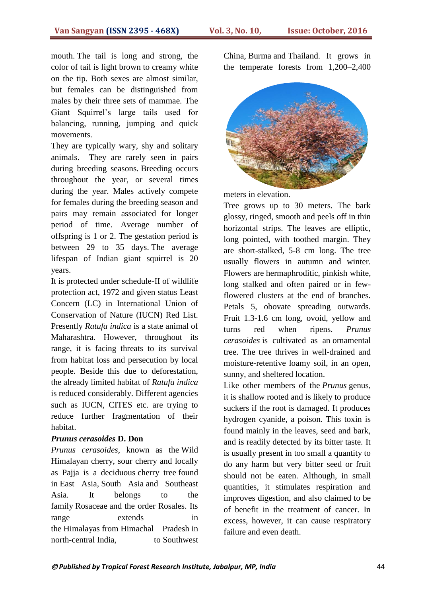mouth. The tail is long and strong, the color of tail is light brown to creamy white on the tip. Both sexes are almost similar, but females can be distinguished from males by their three sets of mammae. The Giant Squirrel"s large tails used for balancing, running, jumping and quick movements.

They are typically wary, shy and solitary animals. They are rarely seen in pairs during breeding seasons. Breeding occurs throughout the year, or several times during the year. Males actively compete for females during the breeding season and pairs may remain associated for longer period of time. Average number of offspring is 1 or 2. The gestation period is between 29 to 35 days. The average lifespan of Indian giant squirrel is 20 years.

It is protected under schedule-II of wildlife protection act, 1972 and given status Least Concern (LC) in International Union of Conservation of Nature (IUCN) Red List. Presently *Ratufa indica* is a state animal of Maharashtra. However, throughout its range, it is facing threats to its survival from habitat loss and persecution by local people. Beside this due to deforestation, the already limited habitat of *Ratufa indica* is reduced considerably. Different agencies such as IUCN, CITES etc. are trying to reduce further fragmentation of their habitat.

#### *Prunus cerasoides* **D. Don**

*Prunus cerasoides*, known as the Wild Himalayan cherry, sour cherry and locally as Pajja is a deciduous cherry tree found in East Asia, South Asia and Southeast Asia. It belongs to the family Rosaceae and the order Rosales. Its range extends in the Himalayas from Himachal Pradesh in north-central India, to Southwest China, Burma and Thailand. It grows in the temperate forests from 1,200–2,400



meters in elevation.

Tree grows up to 30 meters. The bark glossy, ringed, smooth and peels off in thin horizontal strips. The leaves are elliptic, long pointed, with toothed margin. They are short-stalked, 5-8 cm long. The tree usually flowers in autumn and winter. Flowers are hermaphroditic, pinkish white, long stalked and often paired or in fewflowered clusters at the end of branches. Petals 5, obovate spreading outwards. Fruit 1.3-1.6 cm long, ovoid, yellow and turns red when ripens. *Prunus cerasoides* is cultivated as an ornamental tree. The tree thrives in well-drained and moisture-retentive loamy soil, in an open, sunny, and sheltered location.

Like other members of the *Prunus* genus, it is shallow rooted and is likely to produce suckers if the root is damaged. It produces hydrogen cyanide, a poison. This toxin is found mainly in the leaves, seed and bark, and is readily detected by its bitter taste. It is usually present in too small a quantity to do any harm but very bitter seed or fruit should not be eaten. Although, in small quantities, it stimulates respiration and improves digestion, and also claimed to be of benefit in the treatment of cancer. In excess, however, it can cause respiratory failure and even death.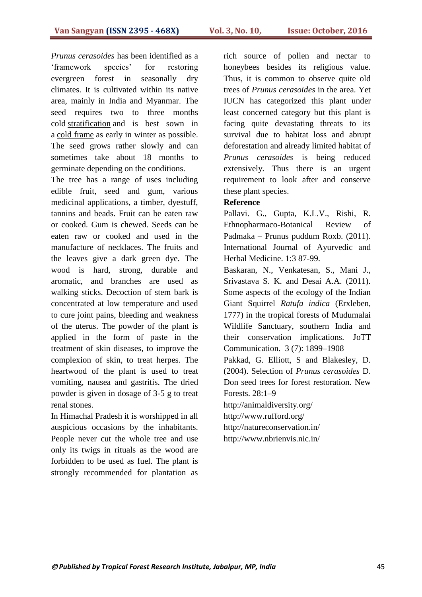*Prunus cerasoides* has been identified as a "framework species" for restoring evergreen forest in seasonally dry climates. It is cultivated within its native area, mainly in India and Myanmar. The seed requires two to three months cold [stratification](https://en.wikipedia.org/wiki/Stratification_(botany)) and is best sown in a [cold frame](https://en.wikipedia.org/wiki/Cold_frame) as early in winter as possible. The seed grows rather slowly and can sometimes take about 18 months to germinate depending on the conditions.

The tree has a range of uses including edible fruit, seed and gum, various medicinal applications, a timber, dyestuff, tannins and beads. Fruit can be eaten raw or cooked. Gum is chewed. Seeds can be eaten raw or cooked and used in the manufacture of necklaces. The fruits and the leaves give a dark green dye. The wood is hard, strong, durable and aromatic, and branches are used as walking sticks. Decoction of stem bark is concentrated at low temperature and used to cure joint pains, bleeding and weakness of the uterus. The powder of the plant is applied in the form of paste in the treatment of skin diseases, to improve the complexion of skin, to treat herpes. The heartwood of the plant is used to treat vomiting, nausea and gastritis. The dried powder is given in dosage of 3-5 g to treat renal stones.

In Himachal Pradesh it is worshipped in all auspicious occasions by the inhabitants. People never cut the whole tree and use only its twigs in rituals as the wood are forbidden to be used as fuel. The plant is strongly recommended for plantation as

rich source of pollen and nectar to honeybees besides its religious value. Thus, it is common to observe quite old trees of *Prunus cerasoides* in the area. Yet IUCN has categorized this plant under least concerned category but this plant is facing quite devastating threats to its survival due to habitat loss and abrupt deforestation and already limited habitat of *Prunus cerasoides* is being reduced extensively. Thus there is an urgent requirement to look after and conserve these plant species.

#### **Reference**

Pallavi. G., Gupta, K.L.V., Rishi, R. Ethnopharmaco-Botanical Review of Padmaka – Prunus puddum Roxb. (2011). International Journal of Ayurvedic and Herbal Medicine. 1:3 87-99.

Baskaran, N., Venkatesan, S., Mani J., Srivastava S. K. and Desai A.A. (2011). Some aspects of the ecology of the Indian Giant Squirrel *Ratufa indica* (Erxleben, 1777) in the tropical forests of Mudumalai Wildlife Sanctuary, southern India and their conservation implications. JoTT Communication. 3 (7): 1899–1908

Pakkad, G. Elliott, S and Blakesley, D. (2004). Selection of *Prunus cerasoides* D. Don seed trees for forest restoration. New Forests. 28:1–9

http://animaldiversity.org/

http://www.rufford.org/

http://natureconservation.in/

http://www.nbrienvis.nic.in/